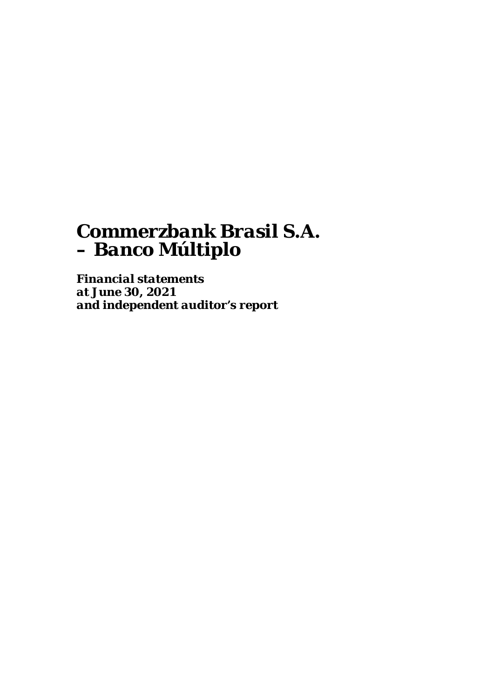*Financial statements at June 30, 2021 and independent auditor's report*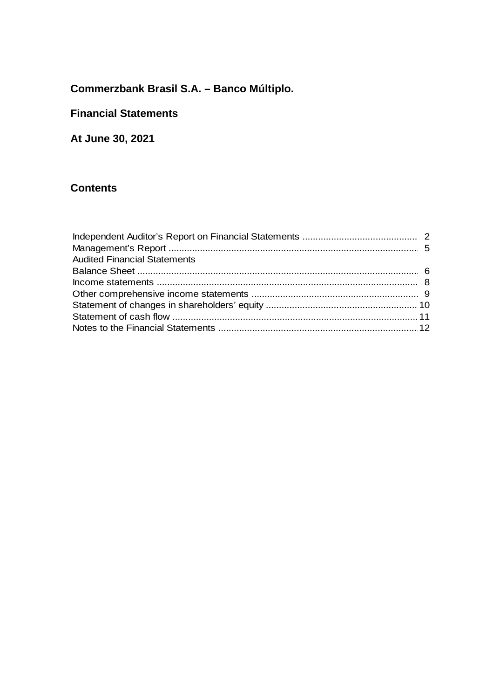## **Financial Statements**

At June 30, 2021

## **Contents**

| <b>Audited Financial Statements</b> |  |
|-------------------------------------|--|
|                                     |  |
|                                     |  |
|                                     |  |
|                                     |  |
|                                     |  |
|                                     |  |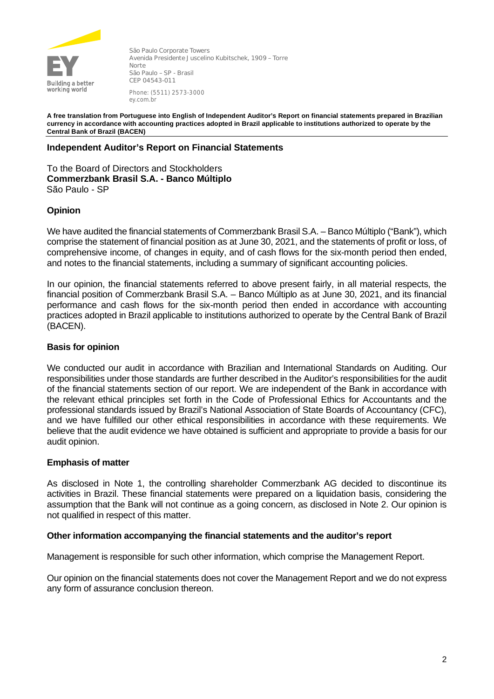

**São Paulo Corporate Towers Avenida Presidente Juscelino Kubitschek, 1909 – Torre Norte São Paulo – SP - Brasil CEP 04543-011** Phone: (5511) 2573-3000 ey.com.br

**A free translation from Portuguese into English of Independent Auditor's Report on financial statements prepared in Brazilian currency in accordance with accounting practices adopted in Brazil applicable to institutions authorized to operate by the Central Bank of Brazil (BACEN)**

## **Independent Auditor's Report on Financial Statements**

To the Board of Directors and Stockholders **Commerzbank Brasil S.A. - Banco Múltiplo** São Paulo - SP

## **Opinion**

We have audited the financial statements of Commerzbank Brasil S.A. – Banco Múltiplo ("Bank"), which comprise the statement of financial position as at June 30, 2021, and the statements of profit or loss, of comprehensive income, of changes in equity, and of cash flows for the six-month period then ended, and notes to the financial statements, including a summary of significant accounting policies.

In our opinion, the financial statements referred to above present fairly, in all material respects, the financial position of Commerzbank Brasil S.A. – Banco Múltiplo as at June 30, 2021, and its financial performance and cash flows for the six-month period then ended in accordance with accounting practices adopted in Brazil applicable to institutions authorized to operate by the Central Bank of Brazil (BACEN).

## **Basis for opinion**

We conducted our audit in accordance with Brazilian and International Standards on Auditing. Our responsibilities under those standards are further described in the Auditor's responsibilities for the audit of the financial statements section of our report. We are independent of the Bank in accordance with the relevant ethical principles set forth in the Code of Professional Ethics for Accountants and the professional standards issued by Brazil's National Association of State Boards of Accountancy (CFC), and we have fulfilled our other ethical responsibilities in accordance with these requirements. We believe that the audit evidence we have obtained is sufficient and appropriate to provide a basis for our audit opinion.

## **Emphasis of matter**

As disclosed in Note 1, the controlling shareholder Commerzbank AG decided to discontinue its activities in Brazil. These financial statements were prepared on a liquidation basis, considering the assumption that the Bank will not continue as a going concern, as disclosed in Note 2. Our opinion is not qualified in respect of this matter.

## **Other information accompanying the financial statements and the auditor's report**

Management is responsible for such other information, which comprise the Management Report.

Our opinion on the financial statements does not cover the Management Report and we do not express any form of assurance conclusion thereon.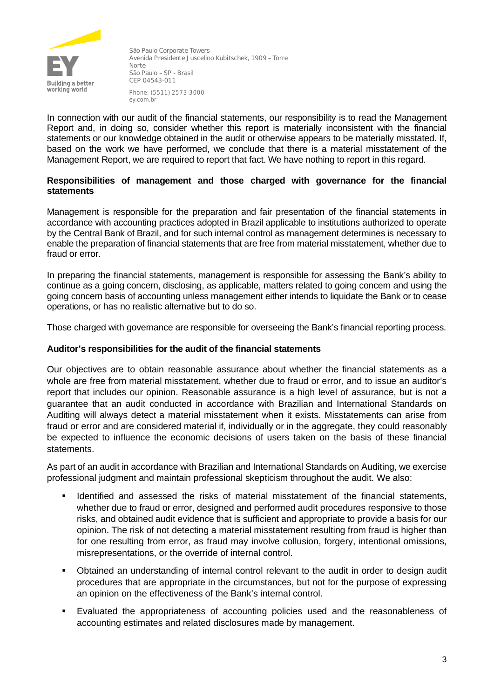

**São Paulo Corporate Towers Avenida Presidente Juscelino Kubitschek, 1909 – Torre Norte São Paulo – SP - Brasil CEP 04543-011** Phone: (5511) 2573-3000 ey.com.br

In connection with our audit of the financial statements, our responsibility is to read the Management Report and, in doing so, consider whether this report is materially inconsistent with the financial statements or our knowledge obtained in the audit or otherwise appears to be materially misstated. If, based on the work we have performed, we conclude that there is a material misstatement of the Management Report, we are required to report that fact. We have nothing to report in this regard.

## **Responsibilities of management and those charged with governance for the financial statements**

Management is responsible for the preparation and fair presentation of the financial statements in accordance with accounting practices adopted in Brazil applicable to institutions authorized to operate by the Central Bank of Brazil, and for such internal control as management determines is necessary to enable the preparation of financial statements that are free from material misstatement, whether due to fraud or error.

In preparing the financial statements, management is responsible for assessing the Bank's ability to continue as a going concern, disclosing, as applicable, matters related to going concern and using the going concern basis of accounting unless management either intends to liquidate the Bank or to cease operations, or has no realistic alternative but to do so.

Those charged with governance are responsible for overseeing the Bank's financial reporting process.

## **Auditor's responsibilities for the audit of the financial statements**

Our objectives are to obtain reasonable assurance about whether the financial statements as a whole are free from material misstatement, whether due to fraud or error, and to issue an auditor's report that includes our opinion. Reasonable assurance is a high level of assurance, but is not a guarantee that an audit conducted in accordance with Brazilian and International Standards on Auditing will always detect a material misstatement when it exists. Misstatements can arise from fraud or error and are considered material if, individually or in the aggregate, they could reasonably be expected to influence the economic decisions of users taken on the basis of these financial statements.

As part of an audit in accordance with Brazilian and International Standards on Auditing, we exercise professional judgment and maintain professional skepticism throughout the audit. We also:

- **IDENTIFIED And assessed the risks of material misstatement of the financial statements,** whether due to fraud or error, designed and performed audit procedures responsive to those risks, and obtained audit evidence that is sufficient and appropriate to provide a basis for our opinion. The risk of not detecting a material misstatement resulting from fraud is higher than for one resulting from error, as fraud may involve collusion, forgery, intentional omissions, misrepresentations, or the override of internal control.
- Obtained an understanding of internal control relevant to the audit in order to design audit procedures that are appropriate in the circumstances, but not for the purpose of expressing an opinion on the effectiveness of the Bank's internal control.
- Evaluated the appropriateness of accounting policies used and the reasonableness of accounting estimates and related disclosures made by management.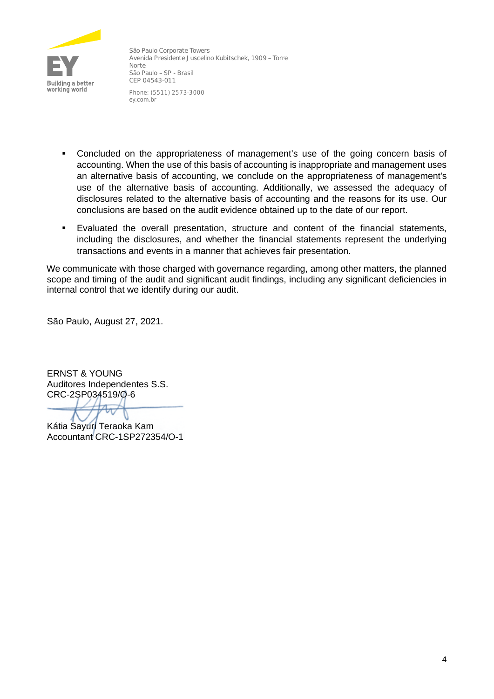

**São Paulo Corporate Towers Avenida Presidente Juscelino Kubitschek, 1909 – Torre Norte São Paulo – SP - Brasil CEP 04543-011** Phone: (5511) 2573-3000 ey.com.br

- Concluded on the appropriateness of management's use of the going concern basis of accounting. When the use of this basis of accounting is inappropriate and management uses an alternative basis of accounting, we conclude on the appropriateness of management's use of the alternative basis of accounting. Additionally, we assessed the adequacy of disclosures related to the alternative basis of accounting and the reasons for its use. Our conclusions are based on the audit evidence obtained up to the date of our report.
- Evaluated the overall presentation, structure and content of the financial statements, including the disclosures, and whether the financial statements represent the underlying transactions and events in a manner that achieves fair presentation.

We communicate with those charged with governance regarding, among other matters, the planned scope and timing of the audit and significant audit findings, including any significant deficiencies in internal control that we identify during our audit.

São Paulo, August 27, 2021.

ERNST & YOUNG Auditores Independentes S.S. CRC-2SP034519/O-6

Kátia Sayuri Teraoka Kam Accountant CRC-1SP272354/O-1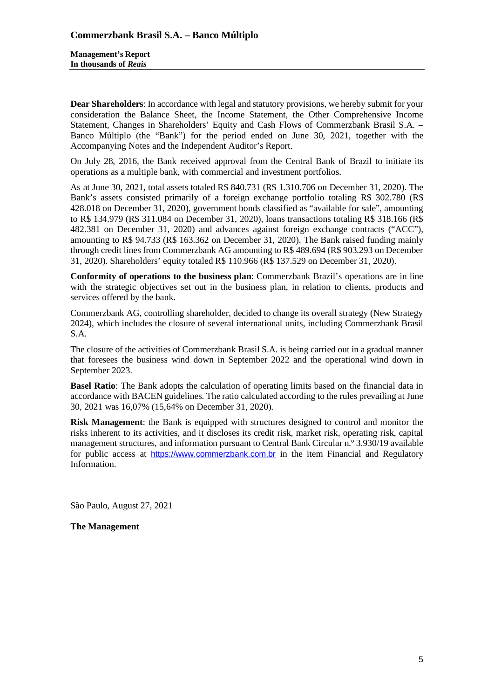**Dear Shareholders**: In accordance with legal and statutory provisions, we hereby submit for your consideration the Balance Sheet, the Income Statement, the Other Comprehensive Income Statement, Changes in Shareholders' Equity and Cash Flows of Commerzbank Brasil S.A. – Banco Múltiplo (the "Bank") for the period ended on June 30, 2021, together with the Accompanying Notes and the Independent Auditor's Report.

On July 28, 2016, the Bank received approval from the Central Bank of Brazil to initiate its operations as a multiple bank, with commercial and investment portfolios.

As at June 30, 2021, total assets totaled R\$ 840.731 (R\$ 1.310.706 on December 31, 2020). The Bank's assets consisted primarily of a foreign exchange portfolio totaling R\$ 302.780 (R\$ 428.018 on December 31, 2020), government bonds classified as "available for sale", amounting to R\$ 134.979 (R\$ 311.084 on December 31, 2020), loans transactions totaling R\$ 318.166 (R\$ 482.381 on December 31, 2020) and advances against foreign exchange contracts ("ACC"), amounting to R\$ 94.733 (R\$ 163.362 on December 31, 2020). The Bank raised funding mainly through credit lines from Commerzbank AG amounting to R\$ 489.694 (R\$ 903.293 on December 31, 2020). Shareholders' equity totaled R\$ 110.966 (R\$ 137.529 on December 31, 2020).

**Conformity of operations to the business plan**: Commerzbank Brazil's operations are in line with the strategic objectives set out in the business plan, in relation to clients, products and services offered by the bank.

Commerzbank AG, controlling shareholder, decided to change its overall strategy (New Strategy 2024), which includes the closure of several international units, including Commerzbank Brasil S.A.

The closure of the activities of Commerzbank Brasil S.A. is being carried out in a gradual manner that foresees the business wind down in September 2022 and the operational wind down in September 2023.

**Basel Ratio**: The Bank adopts the calculation of operating limits based on the financial data in accordance with BACEN guidelines. The ratio calculated according to the rules prevailing at June 30, 2021 was 16,07% (15,64% on December 31, 2020).

**Risk Management**: the Bank is equipped with structures designed to control and monitor the risks inherent to its activities, and it discloses its credit risk, market risk, operating risk, capital management structures, and information pursuant to Central Bank Circular n.º 3.930/19 available for public access at [https://www.commerzbank.com.br](https://www.commerzbank.com.br/) in the item Financial and Regulatory Information.

São Paulo, August 27, 2021

**The Management**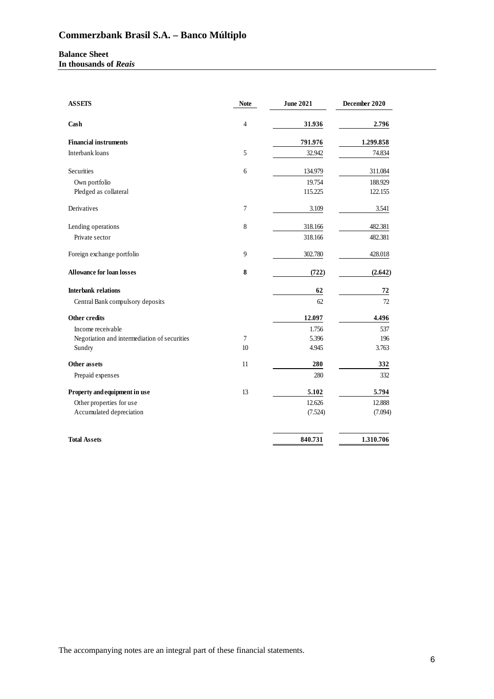**Balance Sheet In thousands of** *Reais*

| <b>ASSETS</b>                                | <b>Note</b> | <b>June 2021</b> | December 2020 |
|----------------------------------------------|-------------|------------------|---------------|
| Cash                                         | 4           | 31.936           | 2.796         |
| <b>Financial instruments</b>                 |             | 791.976          | 1.299.858     |
| Interbank loans                              | 5           | 32.942           | 74.834        |
| Securities                                   | 6           | 134.979          | 311.084       |
| Own portfolio                                |             | 19.754           | 188.929       |
| Pledged as collateral                        |             | 115.225          | 122.155       |
| Derivatives                                  | 7           | 3.109            | 3.541         |
| Lending operations                           | 8           | 318.166          | 482.381       |
| Private sector                               |             | 318.166          | 482.381       |
| Foreign exchange portfolio                   | 9           | 302.780          | 428.018       |
| <b>Allowance for loan losses</b>             | 8           | (722)            | (2.642)       |
| <b>Interbank relations</b>                   |             | 62               | 72            |
| Central Bank compulsory deposits             |             | 62               | 72            |
| <b>Other credits</b>                         |             | 12.097           | 4.496         |
| Income receivable                            |             | 1.756            | 537           |
| Negotiation and intermediation of securities | $\tau$      | 5.396            | 196           |
| Sundry                                       | 10          | 4.945            | 3.763         |
| Other assets                                 | 11          | 280              | 332           |
| Prepaid expenses                             |             | 280              | 332           |
| Property and equipment in use                | 13          | 5.102            | 5.794         |
| Other properties for use                     |             | 12.626           | 12.888        |
| Accumulated depreciation                     |             | (7.524)          | (7.094)       |
| <b>Total Assets</b>                          |             | 840.731          | 1.310.706     |

The accompanying notes are an integral part of these financial statements.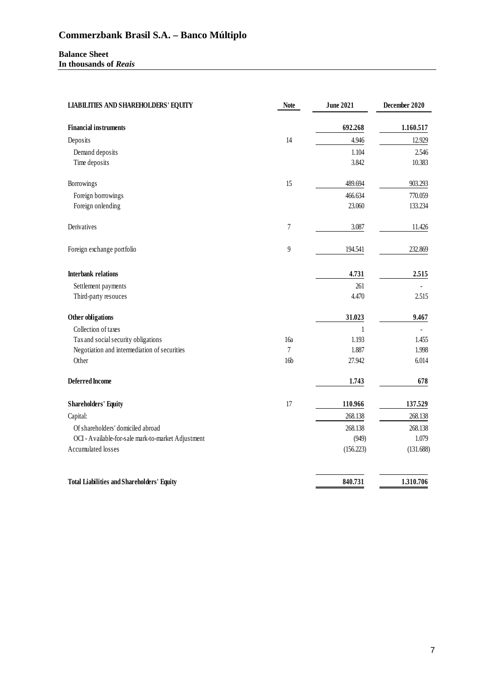#### **Balance Sheet In thousands of** *Reais*

| <b>LIABILITIES AND SHAREHOLDERS' EQUITY</b>        | <b>Note</b>     | <b>June 2021</b> | December 2020 |  |
|----------------------------------------------------|-----------------|------------------|---------------|--|
| <b>Financial instruments</b>                       |                 | 692.268          | 1.160.517     |  |
| Deposits                                           | 14              | 4.946            | 12.929        |  |
| Demand deposits                                    |                 | 1.104            | 2.546         |  |
| Time deposits                                      |                 | 3.842            | 10.383        |  |
| Borrowings                                         | 15              | 489.694          | 903.293       |  |
| Foreign borrowings                                 |                 | 466.634          | 770.059       |  |
| Foreign onlending                                  |                 | 23.060           | 133.234       |  |
| Derivatives                                        | 7               | 3.087            | 11.426        |  |
| Foreign exchange portfolio                         | $\overline{9}$  | 194.541          | 232.869       |  |
| <b>Interbank relations</b>                         |                 | 4.731            | 2.515         |  |
| Settlement payments                                |                 | 261              |               |  |
| Third-party resouces                               |                 | 4.470            | 2.515         |  |
| Other obligations                                  |                 | 31.023           | 9.467         |  |
| Collection of taxes                                |                 | 1                |               |  |
| Tax and social security obligations                | 16a             | 1.193            | 1.455         |  |
| Negotiation and intermediation of securities       | $\overline{7}$  | 1.887            | 1.998         |  |
| Other                                              | 16 <sub>b</sub> | 27.942           | 6.014         |  |
| <b>Deferred Income</b>                             |                 | 1.743            | 678           |  |
| <b>Shareholders' Equity</b>                        | 17              | 110.966          | 137.529       |  |
| Capital:                                           |                 | 268.138          | 268.138       |  |
| Of shareholders' domiciled abroad                  |                 | 268.138          | 268.138       |  |
| OCI - Available-for-sale mark-to-market Adjustment |                 | (949)            | 1.079         |  |
| Accumulated losses                                 |                 | (156.223)        | (131.688)     |  |
| <b>Total Liabilities and Shareholders' Equity</b>  |                 | 840.731          | 1.310.706     |  |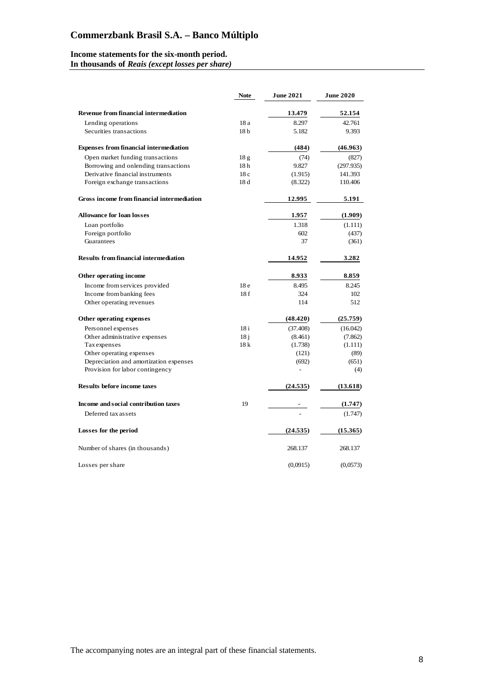#### **Income statements for the six-month period.**

**In thousands of** *Reais (except losses per share)*

|                                               | <b>Note</b>     | <b>June 2021</b> | <b>June 2020</b> |
|-----------------------------------------------|-----------------|------------------|------------------|
| <b>Revenue from financial intermediation</b>  |                 | 13.479           | 52.154           |
| Lending operations                            | 18 a            | 8.297            | 42.761           |
| Securities transactions                       | 18 <sub>b</sub> | 5.182            | 9.393            |
| <b>Expenses from financial intermediation</b> |                 | (484)            | (46.963)         |
| Open market funding transactions              | 18 <sub>g</sub> | (74)             | (827)            |
| Borrowing and onlending transactions          | 18 <sub>h</sub> | 9.827            | (297.935)        |
| Derivative financial instruments              | 18c             | (1.915)          | 141.393          |
| Foreign exchange transactions                 | 18d             | (8.322)          | 110.406          |
| Gross income from financial intermediation    |                 | 12.995           | 5.191            |
| <b>Allowance for loan losses</b>              |                 | 1.957            | (1.909)          |
| Loan portfolio                                |                 | 1.318            | (1.111)          |
| Foreign portfolio                             |                 | 602              | (437)            |
| Guarantees                                    |                 | 37               | (361)            |
| <b>Results from financial intermediation</b>  |                 | 14.952           | 3.282            |
| Other operating income                        |                 | 8.933            | 8.859            |
| Income from services provided                 | 18 <sub>e</sub> | 8.495            | 8.245            |
| Income from banking fees                      | 18f             | 324              | 102              |
| Other operating revenues                      |                 | 114              | 512              |
| Other operating expenses                      |                 | (48.420)         | (25.759)         |
| Personnel expenses                            | 18 <sub>i</sub> | (37.408)         | (16.042)         |
| Other administrative expenses                 | 18 <sub>i</sub> | (8.461)          | (7.862)          |
| Taxexpenses                                   | 18k             | (1.738)          | (1.111)          |
| Other operating expenses                      |                 | (121)            | (89)             |
| Depreciation and amortization expenses        |                 | (692)            | (651)            |
| Provision for labor contingency               |                 |                  | (4)              |
| <b>Results before income taxes</b>            |                 | (24.535)         | (13.618)         |
| Income and social contribution taxes          | 19              |                  | (1.747)          |
| Deferred tax assets                           |                 |                  | (1.747)          |
| Losses for the period                         |                 | (24.535)         | (15.365)         |
| Number of shares (in thousands)               |                 | 268.137          | 268.137          |
| Losses per share                              |                 | (0,0915)         | (0,0573)         |

The accompanying notes are an integral part of these financial statements.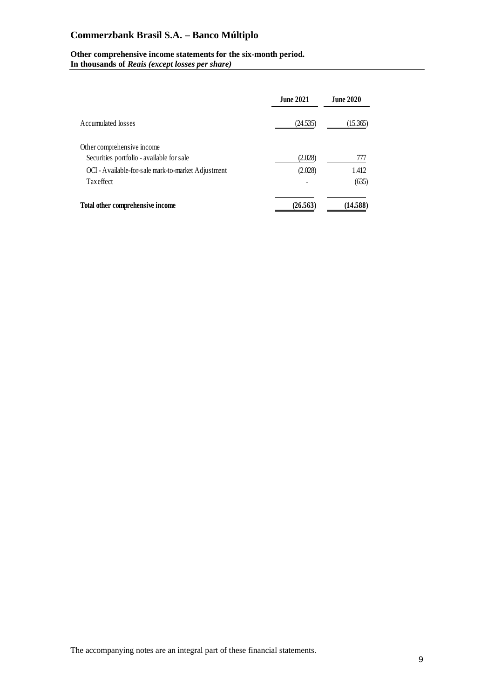#### **Other comprehensive income statements for the six-month period. In thousands of** *Reais (except losses per share)*

|                                                    | <b>June 2021</b> | <b>June 2020</b> |
|----------------------------------------------------|------------------|------------------|
| Accumulated losses                                 | (24.535)         | (15.365)         |
| Other comprehensive income                         |                  |                  |
| Securities portfolio - available for sale          | (2.028)          | 777              |
| OCI - Available-for-sale mark-to-market Adjustment | (2.028)          | 1.412            |
| Tax effect                                         |                  | (635)            |
| Total other comprehensive income                   | (26.563)         | (14.588)         |

The accompanying notes are an integral part of these financial statements.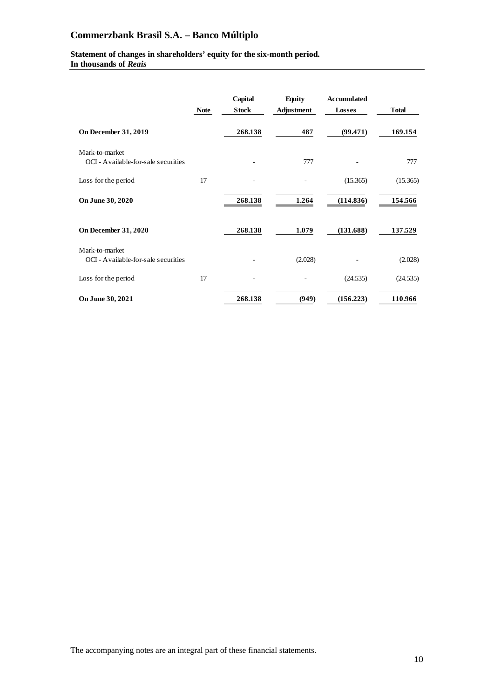## **Statement of changes in shareholders' equity for the six-month period.**

**In thousands of** *Reais*

|                                                       | <b>Note</b> | Capital<br><b>Stock</b> | <b>Equity</b><br><b>Adjustment</b> | <b>Accumulated</b><br>Losses | <b>Total</b> |
|-------------------------------------------------------|-------------|-------------------------|------------------------------------|------------------------------|--------------|
| <b>On December 31, 2019</b>                           |             | 268.138                 | 487                                | (99.471)                     | 169.154      |
| Mark-to-market<br>OCI - Available-for-sale securities |             |                         | 777                                |                              | 777          |
| Loss for the period                                   | 17          |                         |                                    | (15.365)                     | (15.365)     |
| On June 30, 2020                                      |             | 268.138                 | 1.264                              | (114.836)                    | 154.566      |
| <b>On December 31, 2020</b>                           |             | 268.138                 | 1.079                              | (131.688)                    | 137.529      |
| Mark-to-market<br>OCI - Available-for-sale securities |             |                         | (2.028)                            |                              | (2.028)      |
| Loss for the period                                   | 17          |                         |                                    | (24.535)                     | (24.535)     |
| On June 30, 2021                                      |             | 268.138                 | (949)                              | (156.223)                    | 110.966      |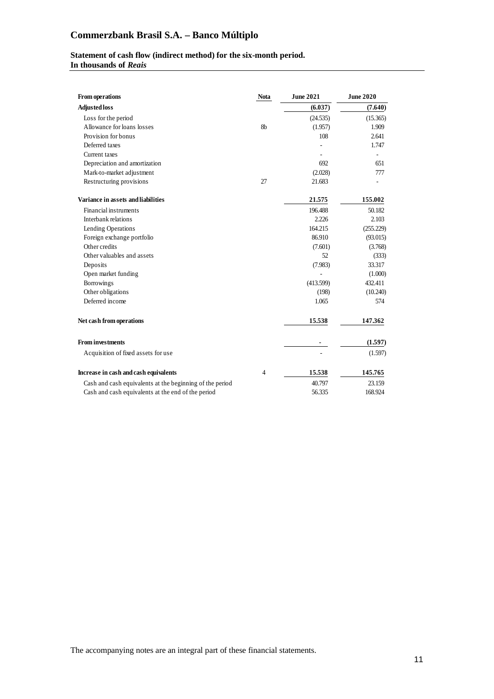## **Statement of cash flow (indirect method) for the six-month period.**

**In thousands of** *Reais*

| From operations                                          | <b>Nota</b>    | <b>June 2021</b> | <b>June 2020</b> |
|----------------------------------------------------------|----------------|------------------|------------------|
| Adjusted loss                                            |                | (6.037)          | (7.640)          |
| Loss for the period                                      |                | (24.535)         | (15.365)         |
| Allowance for loans losses                               | 8 <sub>h</sub> | (1.957)          | 1.909            |
| Provision for bonus                                      |                | 108              | 2.641            |
| Deferred taxes                                           |                |                  | 1.747            |
| Current taxes                                            |                |                  |                  |
| Depreciation and amortization                            |                | 692              | 651              |
| Mark-to-market adjustment                                |                | (2.028)          | 777              |
| Restructuring provisions                                 | 27             | 21.683           |                  |
| Variance in assets and liabilities                       |                | 21.575           | 155.002          |
| Financial instruments                                    |                | 196.488          | 50.182           |
| Interbank relations                                      |                | 2.226            | 2.103            |
| Lending Operations                                       |                | 164.215          | (255.229)        |
| Foreign exchange portfolio                               |                | 86.910           | (93.015)         |
| Other credits                                            |                | (7.601)          | (3.768)          |
| Other valuables and assets                               |                | 52               | (333)            |
| Deposits                                                 |                | (7.983)          | 33.317           |
| Open market funding                                      |                |                  | (1.000)          |
| Borrowings                                               |                | (413.599)        | 432.411          |
| Other obligations                                        |                | (198)            | (10.240)         |
| Deferred income                                          |                | 1.065            | 574              |
| Net cash from operations                                 |                | 15.538           | 147.362          |
| <b>From investments</b>                                  |                |                  | (1.597)          |
| Acquisition of fixed assets for use                      |                |                  | (1.597)          |
| Increase in cash and cash equivalents                    | 4              | 15.538           | 145.765          |
| Cash and cash equivalents at the beginning of the period |                | 40.797           | 23.159           |
| Cash and cash equivalents at the end of the period       |                | 56.335           | 168.924          |

The accompanying notes are an integral part of these financial statements.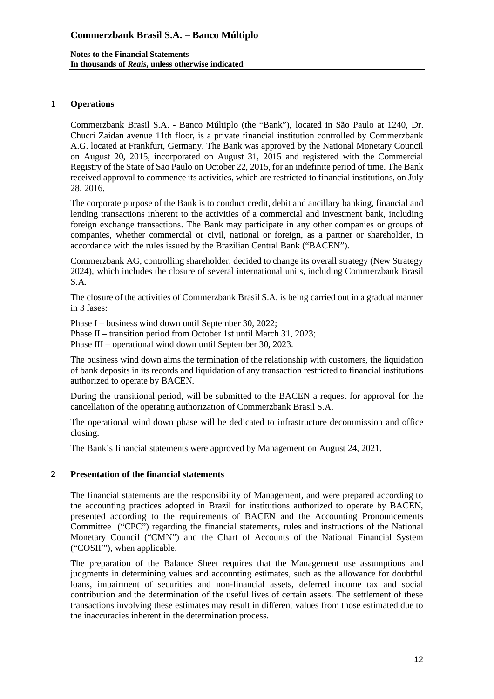## **1 Operations**

Commerzbank Brasil S.A. - Banco Múltiplo (the "Bank"), located in São Paulo at 1240, Dr. Chucri Zaidan avenue 11th floor, is a private financial institution controlled by Commerzbank A.G. located at Frankfurt, Germany. The Bank was approved by the National Monetary Council on August 20, 2015, incorporated on August 31, 2015 and registered with the Commercial Registry of the State of São Paulo on October 22, 2015, for an indefinite period of time. The Bank received approval to commence its activities, which are restricted to financial institutions, on July 28, 2016.

The corporate purpose of the Bank is to conduct credit, debit and ancillary banking, financial and lending transactions inherent to the activities of a commercial and investment bank, including foreign exchange transactions. The Bank may participate in any other companies or groups of companies, whether commercial or civil, national or foreign, as a partner or shareholder, in accordance with the rules issued by the Brazilian Central Bank ("BACEN").

Commerzbank AG, controlling shareholder, decided to change its overall strategy (New Strategy 2024), which includes the closure of several international units, including Commerzbank Brasil S.A.

The closure of the activities of Commerzbank Brasil S.A. is being carried out in a gradual manner in 3 fases:

Phase I – business wind down until September 30, 2022;

Phase II – transition period from October 1st until March 31, 2023;

Phase III – operational wind down until September 30, 2023.

The business wind down aims the termination of the relationship with customers, the liquidation of bank deposits in its records and liquidation of any transaction restricted to financial institutions authorized to operate by BACEN.

During the transitional period, will be submitted to the BACEN a request for approval for the cancellation of the operating authorization of Commerzbank Brasil S.A.

The operational wind down phase will be dedicated to infrastructure decommission and office closing.

The Bank's financial statements were approved by Management on August 24, 2021.

## **2 Presentation of the financial statements**

The financial statements are the responsibility of Management, and were prepared according to the accounting practices adopted in Brazil for institutions authorized to operate by BACEN, presented according to the requirements of BACEN and the Accounting Pronouncements Committee ("CPC") regarding the financial statements, rules and instructions of the National Monetary Council ("CMN") and the Chart of Accounts of the National Financial System ("COSIF"), when applicable.

The preparation of the Balance Sheet requires that the Management use assumptions and judgments in determining values and accounting estimates, such as the allowance for doubtful loans, impairment of securities and non-financial assets, deferred income tax and social contribution and the determination of the useful lives of certain assets. The settlement of these transactions involving these estimates may result in different values from those estimated due to the inaccuracies inherent in the determination process.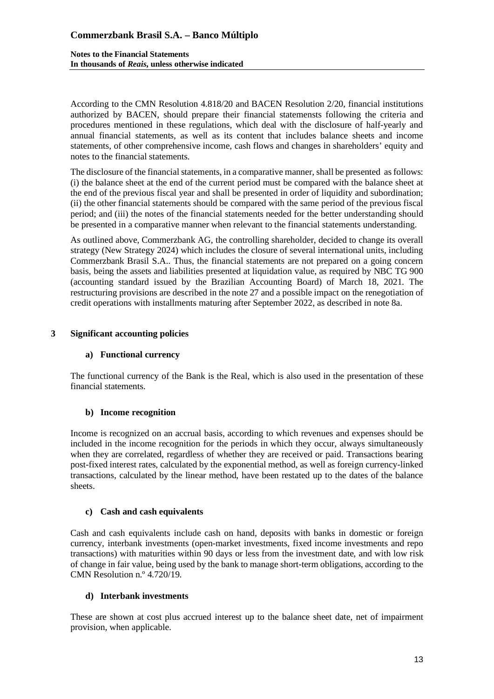According to the CMN Resolution 4.818/20 and BACEN Resolution 2/20, financial institutions authorized by BACEN, should prepare their financial statemensts following the criteria and procedures mentioned in these regulations, which deal with the disclosure of half-yearly and annual financial statements, as well as its content that includes balance sheets and income statements, of other comprehensive income, cash flows and changes in shareholders' equity and notes to the financial statements.

The disclosure of the financial statements, in a comparative manner, shall be presented as follows: (i) the balance sheet at the end of the current period must be compared with the balance sheet at the end of the previous fiscal year and shall be presented in order of liquidity and subordination; (ii) the other financial statements should be compared with the same period of the previous fiscal period; and (iii) the notes of the financial statements needed for the better understanding should be presented in a comparative manner when relevant to the financial statements understanding.

As outlined above, Commerzbank AG, the controlling shareholder, decided to change its overall strategy (New Strategy 2024) which includes the closure of several international units, including Commerzbank Brasil S.A.. Thus, the financial statements are not prepared on a going concern basis, being the assets and liabilities presented at liquidation value, as required by NBC TG 900 (accounting standard issued by the Brazilian Accounting Board) of March 18, 2021. The restructuring provisions are described in the note 27 and a possible impact on the renegotiation of credit operations with installments maturing after September 2022, as described in note 8a.

### **3 Significant accounting policies**

## **a) Functional currency**

The functional currency of the Bank is the Real, which is also used in the presentation of these financial statements.

#### **b) Income recognition**

Income is recognized on an accrual basis, according to which revenues and expenses should be included in the income recognition for the periods in which they occur, always simultaneously when they are correlated, regardless of whether they are received or paid. Transactions bearing post-fixed interest rates, calculated by the exponential method, as well as foreign currency-linked transactions, calculated by the linear method, have been restated up to the dates of the balance sheets.

#### **c) Cash and cash equivalents**

Cash and cash equivalents include cash on hand, deposits with banks in domestic or foreign currency, interbank investments (open-market investments, fixed income investments and repo transactions) with maturities within 90 days or less from the investment date, and with low risk of change in fair value, being used by the bank to manage short-term obligations, according to the CMN Resolution n.º 4.720/19.

#### **d) Interbank investments**

These are shown at cost plus accrued interest up to the balance sheet date, net of impairment provision, when applicable.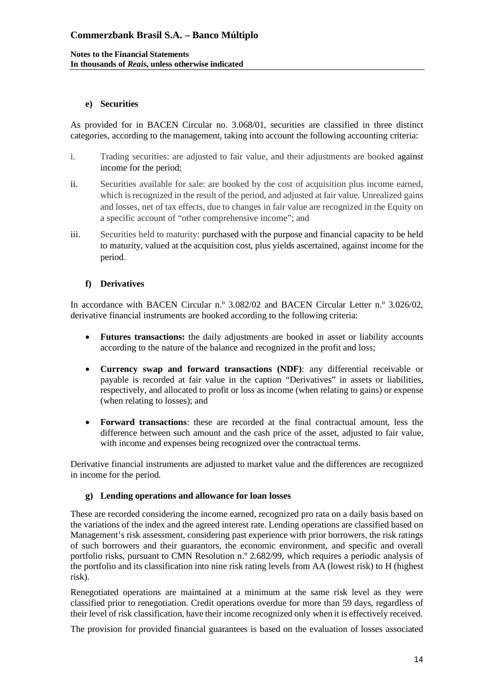### **e) Securities**

As provided for in BACEN Circular no. 3.068/01, securities are classified in three distinct categories, according to the management, taking into account the following accounting criteria:

- i. Trading securities: are adjusted to fair value, and their adjustments are booked against income for the period;
- ii. Securities available for sale: are booked by the cost of acquisition plus income earned, which is recognized in the result of the period, and adjusted at fair value. Unrealized gains and losses, net of tax effects, due to changes in fair value are recognized in the Equity on a specific account of "other comprehensive income"; and
- iii. Securities held to maturity: purchased with the purpose and financial capacity to be held to maturity, valued at the acquisition cost, plus yields ascertained, against income for the period.

## **f) Derivatives**

In accordance with BACEN Circular n.º 3.082/02 and BACEN Circular Letter n.º 3.026/02, derivative financial instruments are booked according to the following criteria:

- **Futures transactions:** the daily adjustments are booked in asset or liability accounts according to the nature of the balance and recognized in the profit and loss;
- **Currency swap and forward transactions (NDF)**: any differential receivable or payable is recorded at fair value in the caption "Derivatives" in assets or liabilities, respectively, and allocated to profit or loss as income (when relating to gains) or expense (when relating to losses); and
- **Forward transactions**: these are recorded at the final contractual amount, less the difference between such amount and the cash price of the asset, adjusted to fair value, with income and expenses being recognized over the contractual terms.

Derivative financial instruments are adjusted to market value and the differences are recognized in income for the period.

#### **g) Lending operations and allowance for loan losses**

These are recorded considering the income earned, recognized pro rata on a daily basis based on the variations of the index and the agreed interest rate. Lending operations are classified based on Management's risk assessment, considering past experience with prior borrowers, the risk ratings of such borrowers and their guarantors, the economic environment, and specific and overall portfolio risks, pursuant to CMN Resolution n.º 2.682/99, which requires a periodic analysis of the portfolio and its classification into nine risk rating levels from AA (lowest risk) to H (highest risk).

Renegotiated operations are maintained at a minimum at the same risk level as they were classified prior to renegotiation. Credit operations overdue for more than 59 days, regardless of their level of risk classification, have their income recognized only when it is effectively received.

The provision for provided financial guarantees is based on the evaluation of losses associated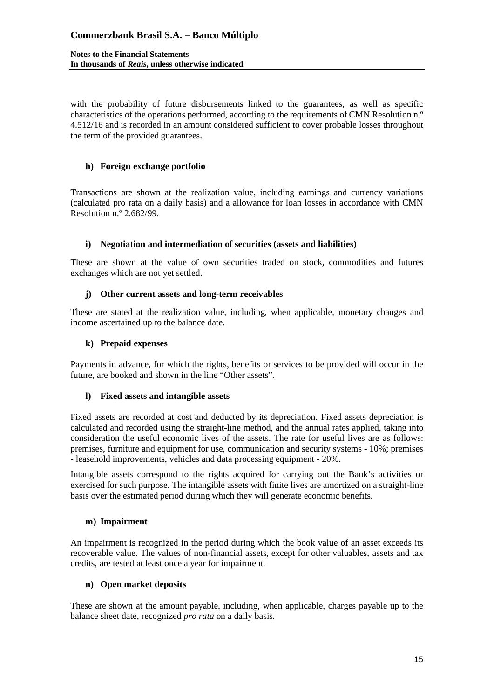**Notes to the Financial Statements In thousands of** *Reais***, unless otherwise indicated**

with the probability of future disbursements linked to the guarantees, as well as specific characteristics of the operations performed, according to the requirements of CMN Resolution n.º 4.512/16 and is recorded in an amount considered sufficient to cover probable losses throughout the term of the provided guarantees.

### **h) Foreign exchange portfolio**

Transactions are shown at the realization value, including earnings and currency variations (calculated pro rata on a daily basis) and a allowance for loan losses in accordance with CMN Resolution n.º 2.682/99.

### **i) Negotiation and intermediation of securities (assets and liabilities)**

These are shown at the value of own securities traded on stock, commodities and futures exchanges which are not yet settled.

### **j) Other current assets and long-term receivables**

These are stated at the realization value, including, when applicable, monetary changes and income ascertained up to the balance date.

### **k) Prepaid expenses**

Payments in advance, for which the rights, benefits or services to be provided will occur in the future, are booked and shown in the line "Other assets".

#### **l) Fixed assets and intangible assets**

Fixed assets are recorded at cost and deducted by its depreciation. Fixed assets depreciation is calculated and recorded using the straight-line method, and the annual rates applied, taking into consideration the useful economic lives of the assets. The rate for useful lives are as follows: premises, furniture and equipment for use, communication and security systems - 10%; premises - leasehold improvements, vehicles and data processing equipment - 20%.

Intangible assets correspond to the rights acquired for carrying out the Bank's activities or exercised for such purpose. The intangible assets with finite lives are amortized on a straight-line basis over the estimated period during which they will generate economic benefits.

#### **m) Impairment**

An impairment is recognized in the period during which the book value of an asset exceeds its recoverable value. The values of non-financial assets, except for other valuables, assets and tax credits, are tested at least once a year for impairment.

### **n) Open market deposits**

These are shown at the amount payable, including, when applicable, charges payable up to the balance sheet date, recognized *pro rata* on a daily basis.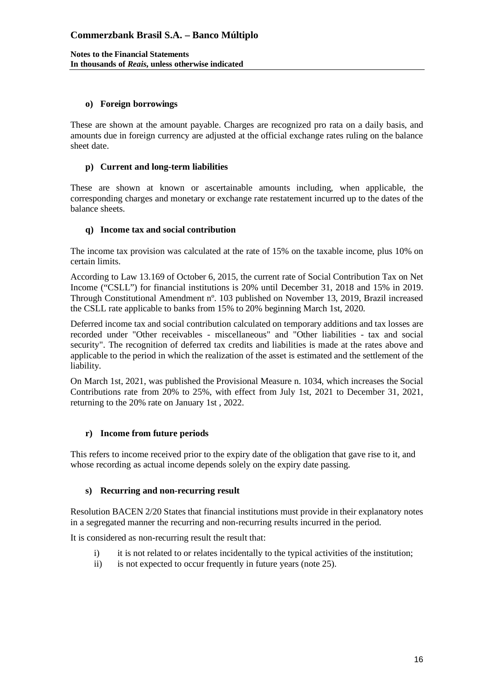### **o) Foreign borrowings**

These are shown at the amount payable. Charges are recognized pro rata on a daily basis, and amounts due in foreign currency are adjusted at the official exchange rates ruling on the balance sheet date.

### **p) Current and long-term liabilities**

These are shown at known or ascertainable amounts including, when applicable, the corresponding charges and monetary or exchange rate restatement incurred up to the dates of the balance sheets.

## **q) Income tax and social contribution**

The income tax provision was calculated at the rate of 15% on the taxable income, plus 10% on certain limits.

According to Law 13.169 of October 6, 2015, the current rate of Social Contribution Tax on Net Income ("CSLL") for financial institutions is 20% until December 31, 2018 and 15% in 2019. Through Constitutional Amendment nº. 103 published on November 13, 2019, Brazil increased the CSLL rate applicable to banks from 15% to 20% beginning March 1st, 2020.

Deferred income tax and social contribution calculated on temporary additions and tax losses are recorded under "Other receivables - miscellaneous" and "Other liabilities - tax and social security". The recognition of deferred tax credits and liabilities is made at the rates above and applicable to the period in which the realization of the asset is estimated and the settlement of the liability.

On March 1st, 2021, was published the Provisional Measure n. 1034, which increases the Social Contributions rate from 20% to 25%, with effect from July 1st, 2021 to December 31, 2021, returning to the 20% rate on January 1st , 2022.

## **r) Income from future periods**

This refers to income received prior to the expiry date of the obligation that gave rise to it, and whose recording as actual income depends solely on the expiry date passing.

## **s) Recurring and non-recurring result**

Resolution BACEN 2/20 States that financial institutions must provide in their explanatory notes in a segregated manner the recurring and non-recurring results incurred in the period.

It is considered as non-recurring result the result that:

- i) it is not related to or relates incidentally to the typical activities of the institution;
- ii) is not expected to occur frequently in future years (note 25).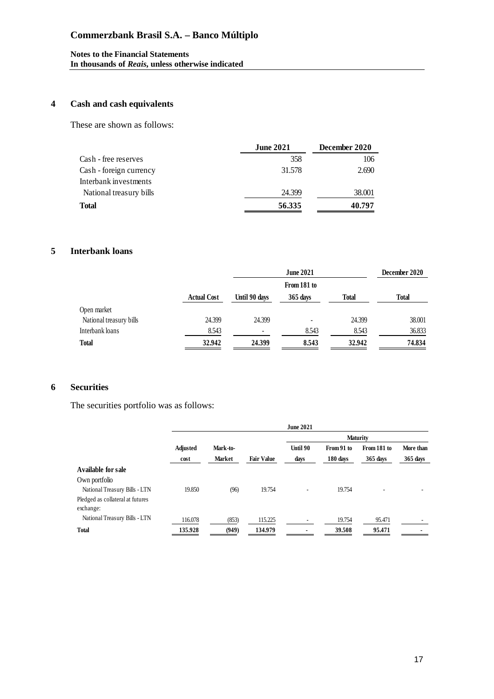#### **Notes to the Financial Statements In thousands of** *Reais***, unless otherwise indicated**

## **4 Cash and cash equivalents**

These are shown as follows:

|                         | <b>June 2021</b> | December 2020 |  |
|-------------------------|------------------|---------------|--|
| Cash - free reserves    | 358              | 106           |  |
| Cash - foreign currency | 31.578           | 2.690         |  |
| Interbank investments   |                  |               |  |
| National treasury bills | 24.399           | 38.001        |  |
| Total                   | 56.335           | 40.797        |  |

## **5 Interbank loans**

|                         |                    | <b>June 2021</b> |            |        |              |
|-------------------------|--------------------|------------------|------------|--------|--------------|
|                         |                    |                  |            |        |              |
|                         | <b>Actual Cost</b> | Until 90 days    | $365$ days | Total  | <b>Total</b> |
| Open market             |                    |                  |            |        |              |
| National treasury bills | 24.399             | 24.399           | -          | 24.399 | 38.001       |
| Interbank loans         | 8.543              |                  | 8.543      | 8.543  | 36.833       |
| <b>Total</b>            | 32.942             | 24.399           | 8.543      | 32.942 | 74.834       |

## **6 Securities**

The securities portfolio was as follows:

|                                  |          |               |                   | <b>June 2021</b> |            |                 |           |
|----------------------------------|----------|---------------|-------------------|------------------|------------|-----------------|-----------|
|                                  |          |               |                   |                  |            | <b>Maturity</b> |           |
|                                  | Adjusted | Mark-to-      |                   | Until 90         | From 91 to | From 181 to     | More than |
|                                  | cost     | <b>Market</b> | <b>Fair Value</b> | days             | 180 days   | 365 days        | 365 days  |
| Available for sale               |          |               |                   |                  |            |                 |           |
| Own portfolio                    |          |               |                   |                  |            |                 |           |
| National Treasury Bills - LTN    | 19.850   | (96)          | 19.754            |                  | 19.754     |                 |           |
| Pledged as collateral at futures |          |               |                   |                  |            |                 |           |
| exchange:                        |          |               |                   |                  |            |                 |           |
| National Treasury Bills - LTN    | 116.078  | (853)         | 115.225           |                  | 19.754     | 95.471          |           |
| <b>Total</b>                     | 135.928  | (949)         | 134.979           |                  | 39.508     | 95.471          |           |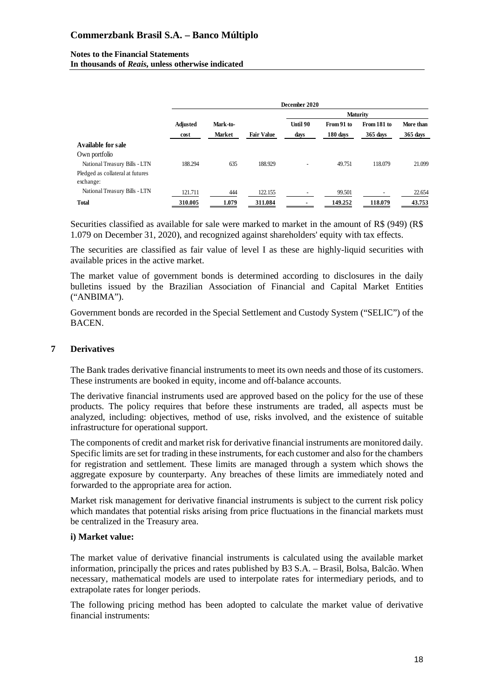#### **Notes to the Financial Statements In thousands of** *Reais***, unless otherwise indicated**

|                                  | December 2020 |               |                   |          |            |                 |            |
|----------------------------------|---------------|---------------|-------------------|----------|------------|-----------------|------------|
|                                  |               |               |                   |          |            | <b>Maturity</b> |            |
|                                  | Adjusted      | Mark-to-      |                   | Until 90 | From 91 to | From 181 to     | More than  |
|                                  | cost          | <b>Market</b> | <b>Fair Value</b> | days     | 180 days   | $365$ days      | $365$ days |
| Available for sale               |               |               |                   |          |            |                 |            |
| Own portfolio                    |               |               |                   |          |            |                 |            |
| National Treasury Bills - LTN    | 188.294       | 635           | 188.929           |          | 49.751     | 118.079         | 21.099     |
| Pledged as collateral at futures |               |               |                   |          |            |                 |            |
| exchange:                        |               |               |                   |          |            |                 |            |
| National Treasury Bills - LTN    | 121.711       | 444           | 122.155           |          | 99.501     |                 | 22.654     |
| <b>Total</b>                     | 310.005       | 1.079         | 311.084           |          | 149.252    | 118.079         | 43.753     |

Securities classified as available for sale were marked to market in the amount of R\$ (949) (R\$ 1.079 on December 31, 2020), and recognized against shareholders' equity with tax effects.

The securities are classified as fair value of level I as these are highly-liquid securities with available prices in the active market.

The market value of government bonds is determined according to disclosures in the daily bulletins issued by the Brazilian Association of Financial and Capital Market Entities ("ANBIMA").

Government bonds are recorded in the Special Settlement and Custody System ("SELIC") of the BACEN.

### **7 Derivatives**

The Bank trades derivative financial instruments to meet its own needs and those of its customers. These instruments are booked in equity, income and off-balance accounts.

The derivative financial instruments used are approved based on the policy for the use of these products. The policy requires that before these instruments are traded, all aspects must be analyzed, including: objectives, method of use, risks involved, and the existence of suitable infrastructure for operational support.

The components of credit and market risk for derivative financial instruments are monitored daily. Specific limits are set for trading in these instruments, for each customer and also for the chambers for registration and settlement. These limits are managed through a system which shows the aggregate exposure by counterparty. Any breaches of these limits are immediately noted and forwarded to the appropriate area for action.

Market risk management for derivative financial instruments is subject to the current risk policy which mandates that potential risks arising from price fluctuations in the financial markets must be centralized in the Treasury area.

#### **i) Market value:**

The market value of derivative financial instruments is calculated using the available market information, principally the prices and rates published by B3 S.A. – Brasil, Bolsa, Balcão. When necessary, mathematical models are used to interpolate rates for intermediary periods, and to extrapolate rates for longer periods.

The following pricing method has been adopted to calculate the market value of derivative financial instruments: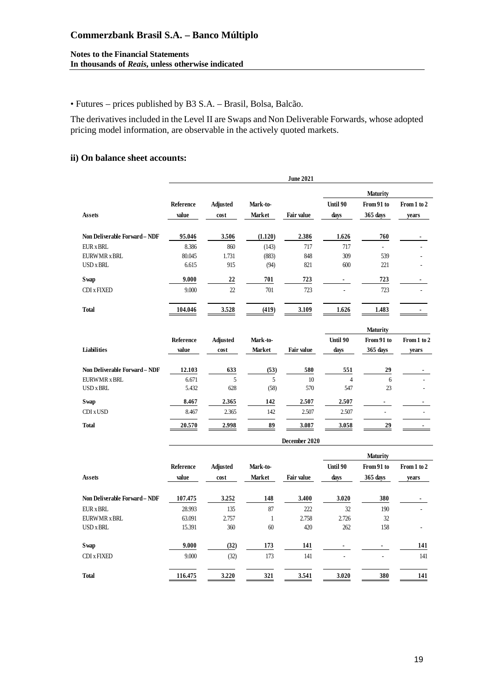#### **Notes to the Financial Statements In thousands of** *Reais***, unless otherwise indicated**

• Futures – prices published by B3 S.A. – Brasil, Bolsa, Balcão.

The derivatives included in the Level II are Swaps and Non Deliverable Forwards, whose adopted pricing model information, are observable in the actively quoted markets.

#### **ii) On balance sheet accounts:**

|                               |           |                 |          | <b>June 2021</b>  |                |            |             |
|-------------------------------|-----------|-----------------|----------|-------------------|----------------|------------|-------------|
|                               |           |                 |          |                   |                | Maturity   |             |
|                               | Reference | <b>Adjusted</b> | Mark-to- |                   | Until 90       | From 91 to | From 1 to 2 |
| <b>Assets</b>                 | value     | cost            | Market   | <b>Fair value</b> | days           | 365 days   | years       |
| Non Deliverable Forward - NDF | 95.046    | 3.506           | (1.120)  | 2.386             | 1.626          | 760        |             |
| <b>EUR x BRL</b>              | 8.386     | 860             | (143)    | 717               | 717            | $\omega$   |             |
| <b>EURWMR x BRL</b>           | 80.045    | 1.731           | (883)    | 848               | 309            | 539        |             |
| <b>USD x BRL</b>              | 6.615     | 915             | (94)     | 821               | 600            | 221        |             |
| Swap                          | 9.000     | 22              | 701      | 723               | $\blacksquare$ | 723        |             |
| CDI x FIXED                   | 9.000     | 22              | 701      | 723               |                | 723        |             |
| <b>Total</b>                  | 104.046   | 3.528           | (419)    | 3.109             | 1.626          | 1.483      |             |
|                               |           |                 |          |                   |                | Maturity   |             |
|                               | Reference | <b>Adjusted</b> | Mark-to- |                   | Until 90       | From 91 to | From 1 to 2 |
| Liabilities                   | value     | cost            | Market   | Fair value        | days           | 365 days   | years       |
| Non Deliverable Forward - NDF | 12.103    | 633             | (53)     | 580               | 551            | 29         |             |
| <b>EURWMR x BRL</b>           | 6.671     | 5               | 5        | 10                | $\overline{4}$ | 6          |             |
| <b>USD x BRL</b>              | 5.432     | 628             | (58)     | 570               | 547            | 23         |             |
| <b>Swap</b>                   | 8.467     | 2.365           | 142      | 2.507             | 2.507          |            |             |
| CDI x USD                     | 8.467     | 2.365           | 142      | 2.507             | 2.507          |            |             |
| <b>Total</b>                  | 20.570    | 2.998           | 89       | 3.087             | 3.058          | 29         |             |
|                               |           |                 |          | December 2020     |                |            |             |
|                               |           |                 |          |                   |                | Maturity   |             |
|                               | Reference | <b>Adjusted</b> | Mark-to- |                   | Until 90       | From 91 to | From 1 to 2 |
| <b>Assets</b>                 | value     | cost            | Market   | Fair value        | days           | 365 days   | years       |
| Non Deliverable Forward - NDF | 107.475   | 3.252           | 148      | 3.400             | 3.020          | 380        |             |

| $11011$ DVIIIVING IVI THIN $1121$ | 10 <i>1</i> .110 | $\cdots$ | .   | $\cdots$ | $\cdots$ |     |     |
|-----------------------------------|------------------|----------|-----|----------|----------|-----|-----|
| EUR x BRL                         | 28.993           | 135      | 87  | 222      | 32       | 190 |     |
| EURWMR x BRL                      | 63.091           | 2.757    |     | 2.758    | 2.726    | 32  |     |
| USD x BRL                         | 15.391           | 360      | 60  | 420      | 262      | 158 |     |
| Swap                              | 9.000            | (32)     | 173 | 141      |          |     | 141 |
| CDI x FIXED                       | 9.000            | (32)     | 173 | 141      |          |     | 141 |
| <b>Total</b>                      | 116.475          | 3.220    | 321 | 3.541    | 3.020    | 380 | 141 |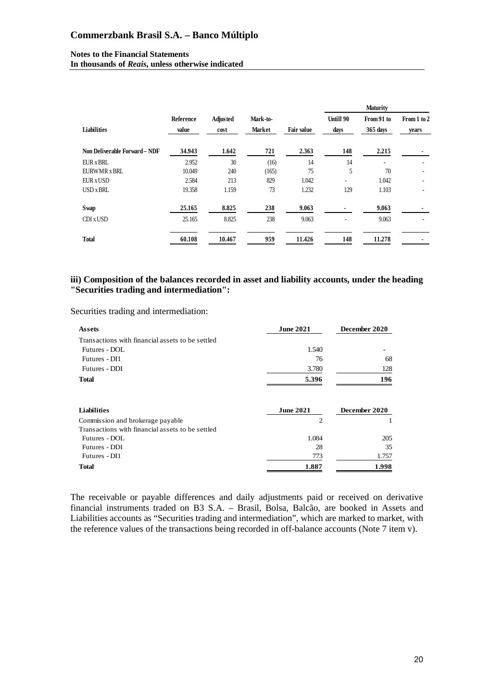#### **Notes to the Financial Statements In thousands of** *Reais***, unless otherwise indicated**

|                               |                    |                         |                    |                   |                          | <b>Maturity</b>        |                          |
|-------------------------------|--------------------|-------------------------|--------------------|-------------------|--------------------------|------------------------|--------------------------|
| <b>Liabilities</b>            | Reference<br>value | <b>Adjusted</b><br>cost | Mark-to-<br>Market | <b>Fair value</b> | Untill 90<br>days        | From 91 to<br>365 days | From 1 to 2<br>years     |
| Non Deliverable Forward - NDF | 34.943             | 1.642                   | 721                | 2.363             | 148                      | 2.215                  |                          |
| EUR x BRL                     | 2.952              | 30                      | (16)               | 14                | 14                       |                        |                          |
| <b>EURWMR x BRL</b>           | 10.049             | 240                     | (165)              | 75                | 5                        | 70                     |                          |
| EUR x USD                     | 2.584              | 213                     | 829                | 1.042             | $\overline{\phantom{a}}$ | 1.042                  | $\overline{\phantom{a}}$ |
| USD x BRL                     | 19.358             | 1.159                   | 73                 | 1.232             | 129                      | 1.103                  |                          |
| Swap                          | 25.165             | 8.825                   | 238                | 9.063             |                          | 9.063                  |                          |
| CDI x USD                     | 25.165             | 8.825                   | 238                | 9.063             | $\overline{\phantom{a}}$ | 9.063                  |                          |
| <b>Total</b>                  | 60.108             | 10.467                  | 959                | 11.426            | 148                      | 11.278                 |                          |

#### **iii) Composition of the balances recorded in asset and liability accounts, under the heading "Securities trading and intermediation":**

Securities trading and intermediation:

| <b>June 2021</b> | December 2020    |  |
|------------------|------------------|--|
|                  |                  |  |
| 1.540            |                  |  |
| 76               | 68               |  |
| 3.780            | 128              |  |
| 5.396            | 196              |  |
|                  | December 2020    |  |
| $\overline{c}$   |                  |  |
|                  |                  |  |
| 1.084            | 205              |  |
| 28               | 35               |  |
| 773              | 1.757            |  |
| 1.887            | 1.998            |  |
|                  | <b>June 2021</b> |  |

The receivable or payable differences and daily adjustments paid or received on derivative financial instruments traded on B3 S.A. – Brasil, Bolsa, Balcão, are booked in Assets and Liabilities accounts as "Securities trading and intermediation", which are marked to market, with the reference values of the transactions being recorded in off-balance accounts (Note 7 item v).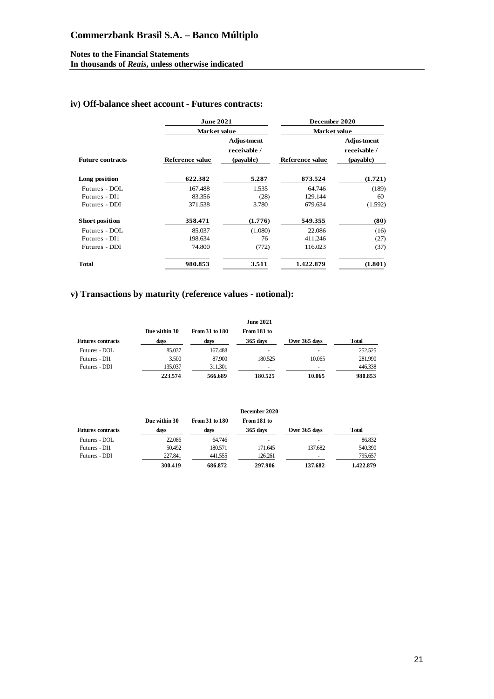#### **Notes to the Financial Statements In thousands of** *Reais***, unless otherwise indicated**

## **iv) Off-balance sheet account - Futures contracts:**

|                         | <b>June 2021</b> |                                                | December 2020<br>Market value |                                                |  |
|-------------------------|------------------|------------------------------------------------|-------------------------------|------------------------------------------------|--|
|                         | Market value     |                                                |                               |                                                |  |
| <b>Future contracts</b> | Reference value  | <b>Adjustment</b><br>receivable /<br>(payable) | Reference value               | <b>Adjustment</b><br>receivable /<br>(payable) |  |
| Long position           | 622.382          | 5.287                                          | 873.524                       | (1.721)                                        |  |
| Futures - DOL           | 167.488          | 1.535                                          | 64.746                        | (189)                                          |  |
| Futures - DI1           | 83.356           | (28)                                           | 129.144                       | 60                                             |  |
| Futures - DDI           | 371.538          | 3.780                                          | 679.634                       | (1.592)                                        |  |
| <b>Short position</b>   | 358.471          | (1.776)                                        | 549.355                       | (80)                                           |  |
| Futures - DOL           | 85.037           | (1.080)                                        | 22.086                        | (16)                                           |  |
| Futures - DI1           | 198.634          | 76                                             | 411.246                       | (27)                                           |  |
| Futures - DDI           | 74.800           | (772)                                          | 116.023                       | (37)                                           |  |
| <b>Total</b>            | 980.853          | 3.511                                          | 1.422.879                     | (1.801)                                        |  |

## **v) Transactions by maturity (reference values - notional):**

|                          |               |                | <b>June 2021</b>         |               |         |
|--------------------------|---------------|----------------|--------------------------|---------------|---------|
|                          | Due within 30 | From 31 to 180 | From 181 to              |               |         |
| <b>Futures contracts</b> | days          | days           | 365 days                 | Over 365 days | Total   |
| Futures - DOL            | 85.037        | 167.488        | ۰                        |               | 252.525 |
| Futures - DI1            | 3.500         | 87.900         | 180.525                  | 10.065        | 281.990 |
| Futures - DDI            | 135.037       | 311.301        | $\overline{\phantom{a}}$ | -             | 446.338 |
|                          | 223.574       | 566.689        | 180.525                  | 10.065        | 980.853 |

|                          | December 2020 |                |             |               |           |
|--------------------------|---------------|----------------|-------------|---------------|-----------|
|                          | Due within 30 | From 31 to 180 | From 181 to |               |           |
| <b>Futures contracts</b> | days          | days           | 365 days    | Over 365 days | Total     |
| Futures - DOL            | 22.086        | 64.746         |             |               | 86.832    |
| Futures - DI1            | 50.492        | 180.571        | 171.645     | 137.682       | 540.390   |
| Futures - DDI            | 227.841       | 441.555        | 126.261     |               | 795.657   |
|                          | 300.419       | 686.872        | 297.906     | 137.682       | 1.422.879 |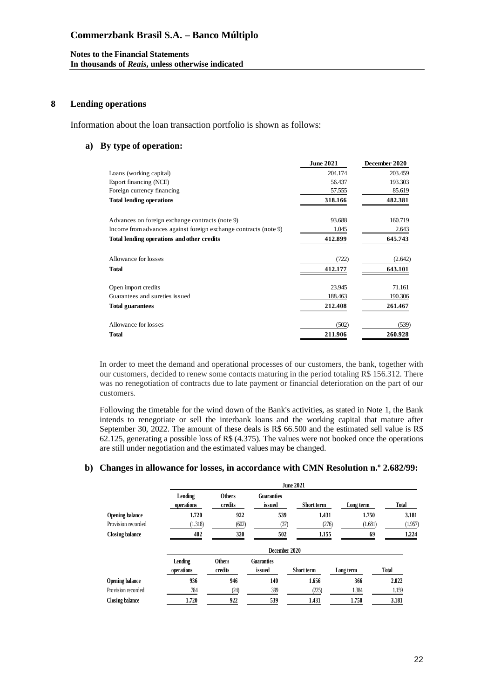#### **8 Lending operations**

Information about the loan transaction portfolio is shown as follows:

#### **a) By type of operation:**

|                                                                  | <b>June 2021</b> | December 2020 |
|------------------------------------------------------------------|------------------|---------------|
| Loans (working capital)                                          | 204.174          | 203.459       |
| Export financing (NCE)                                           | 56.437           | 193.303       |
| Foreign currency financing                                       | 57.555           | 85.619        |
| <b>Total lending operations</b>                                  | 318.166          | 482.381       |
| Advances on foreign exchange contracts (note 9)                  | 93.688           | 160.719       |
| Income from advances against foreign exchange contracts (note 9) | 1.045            | 2.643         |
| Total lending operations and other credits                       | 412.899          | 645.743       |
| Allowance for losses                                             | (722)            | (2.642)       |
| <b>Total</b>                                                     | 412.177          | 643.101       |
| Open import credits                                              | 23.945           | 71.161        |
| Guarantees and sureties issued                                   | 188.463          | 190.306       |
| <b>Total guarantees</b>                                          | 212.408          | 261.467       |
| Allowance for losses                                             | (502)            | (539)         |
| <b>Total</b>                                                     | 211.906          | 260.928       |

In order to meet the demand and operational processes of our customers, the bank, together with our customers, decided to renew some contacts maturing in the period totaling R\$ 156.312. There was no renegotiation of contracts due to late payment or financial deterioration on the part of our customers.

Following the timetable for the wind down of the Bank's activities, as stated in Note 1, the Bank intends to renegotiate or sell the interbank loans and the working capital that mature after September 30, 2022. The amount of these deals is R\$ 66.500 and the estimated sell value is R\$ 62.125, generating a possible loss of R\$ (4.375). The values were not booked once the operations are still under negotiation and the estimated values may be changed.

#### **b) Changes in allowance for losses, in accordance with CMN Resolution n.º 2.682/99:**

|                        | <b>June 2021</b>      |                          |                             |                   |           |              |  |
|------------------------|-----------------------|--------------------------|-----------------------------|-------------------|-----------|--------------|--|
|                        | Lending<br>operations | <b>Others</b><br>credits | <b>Guaranties</b><br>issued | Short term        | Long term | <b>Total</b> |  |
| <b>Opening balance</b> | 1.720                 | 922                      | 539                         | 1.431             | 1.750     | 3.181        |  |
| Provision recorded     | (1.318)               | (602)                    | (37)                        | (276)             | (1.681)   | (1.957)      |  |
| <b>Closing balance</b> | 402                   | 320                      | 502                         | 1.155             | 69        | 1.224        |  |
|                        |                       |                          | December 2020               |                   |           |              |  |
|                        | Lending<br>operations | <b>Others</b><br>credits | <b>Guaranties</b><br>issued | <b>Short term</b> | Long term | Total        |  |
| <b>Opening balance</b> | 936                   | 946                      | 140                         | 1.656             | 366       | 2.022        |  |
| Provision recorded     | 784                   | (24)                     | 399                         | (225)             | 1.384     | 1.159        |  |
| <b>Closing balance</b> | 1.720                 | 922                      | 539                         | 1.431             | 1.750     | 3.181        |  |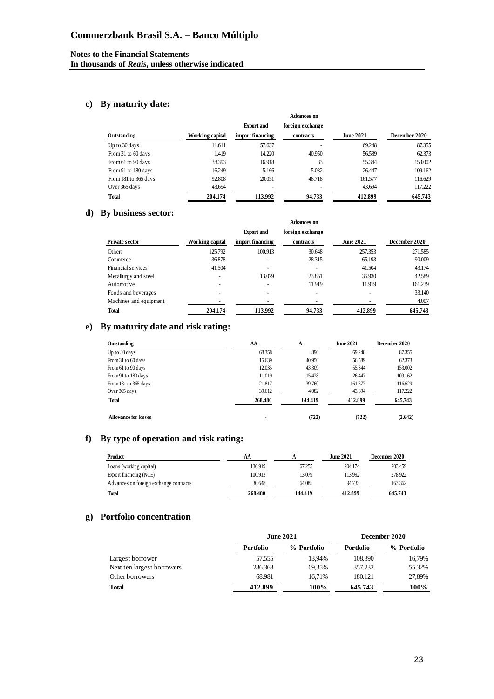## **c) By maturity date:**

|                      |                 |                          | Advances on      |                  |               |
|----------------------|-----------------|--------------------------|------------------|------------------|---------------|
|                      |                 | <b>Export and</b>        | foreign exchange |                  |               |
| Outstanding          | Working capital | import financing         | contracts        | <b>June 2021</b> | December 2020 |
| Up to 30 days        | 11.611          | 57.637                   |                  | 69.248           | 87.355        |
| From 31 to 60 days   | 1.419           | 14.220                   | 40.950           | 56.589           | 62.373        |
| From 61 to 90 days   | 38.393          | 16.918                   | 33               | 55.344           | 153.002       |
| From 91 to 180 days  | 16.249          | 5.166                    | 5.032            | 26.447           | 109.162       |
| From 181 to 365 days | 92.808          | 20.051                   | 48.718           | 161.577          | 116.629       |
| Over 365 days        | 43.694          | $\overline{\phantom{a}}$ |                  | 43.694           | 117.222       |
| <b>Total</b>         | 204.174         | 113.992                  | 94.733           | 412.899          | 645.743       |

#### **d) By business sector:**

|                        |                 |                   | <b>Advances on</b> |                  |               |
|------------------------|-----------------|-------------------|--------------------|------------------|---------------|
|                        |                 | <b>Export</b> and | foreign exchange   |                  |               |
| <b>Private sector</b>  | Working capital | import financing  | contracts          | <b>June 2021</b> | December 2020 |
| <b>Others</b>          | 125.792         | 100.913           | 30.648             | 257.353          | 271.585       |
| Commerce               | 36.878          |                   | 28.315             | 65.193           | 90.009        |
| Financial services     | 41.504          |                   |                    | 41.504           | 43.174        |
| Metallurgy and steel   |                 | 13.079            | 23.851             | 36.930           | 42.589        |
| Automotive             |                 |                   | 11.919             | 11.919           | 161.239       |
| Foods and beverages    |                 |                   |                    |                  | 33.140        |
| Machines and equipment |                 |                   |                    |                  | 4.007         |
| <b>Total</b>           | 204.174         | 113.992           | 94.733             | 412.899          | 645.743       |

## **e) By maturity date and risk rating:**

| Outstanding                 | AA      | А       | <b>June 2021</b> | December 2020 |
|-----------------------------|---------|---------|------------------|---------------|
| Up to 30 days               | 68.358  | 890     | 69.248           | 87.355        |
| From 31 to 60 days          | 15.639  | 40.950  | 56.589           | 62.373        |
| From 61 to 90 days          | 12.035  | 43.309  | 55.344           | 153,002       |
| From 91 to 180 days         | 11.019  | 15.428  | 26.447           | 109.162       |
| From 181 to 365 days        | 121.817 | 39.760  | 161.577          | 116.629       |
| Over 365 days               | 39.612  | 4.082   | 43.694           | 117.222       |
| <b>Total</b>                | 268.480 | 144.419 | 412.899          | 645.743       |
| <b>Allowance for losses</b> | ۰       | (722)   | (722)            | (2.642)       |

## **f) By type of operation and risk rating:**

| Product                                | AA      |         | June 2021. | December 2020 |
|----------------------------------------|---------|---------|------------|---------------|
| Loans (working capital)                | 136.919 | 67.255  | 204.174    | 203.459       |
| Export financing (NCE)                 | 100.913 | 13.079  | 113.992    | 278.922       |
| Advances on foreign exchange contracts | 30.648  | 64.085  | 94.733     | 163.362       |
| <b>Total</b>                           | 268.480 | 144.419 | 412.899    | 645.743       |

## **g) Portfolio concentration**

|                            |           | <b>June 2021</b> | December 2020 |             |  |
|----------------------------|-----------|------------------|---------------|-------------|--|
|                            | Portfolio | % Portfolio      | Portfolio     | % Portfolio |  |
| Largest borrower           | 57.555    | 13.94%           | 108.390       | 16,79%      |  |
| Next ten largest borrowers | 286.363   | 69.35%           | 357.232       | 55,32%      |  |
| Other borrowers            | 68.981    | 16.71%           | 180.121       | 27,89%      |  |
| <b>Total</b>               | 412.899   | 100%             | 645.743       | 100%        |  |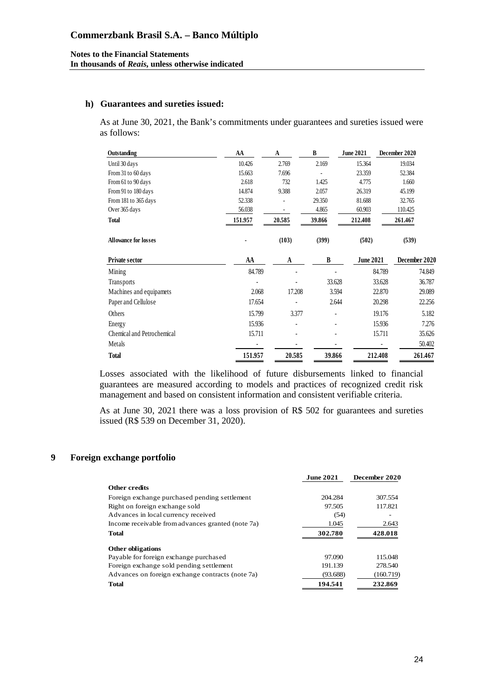#### **h) Guarantees and sureties issued:**

As at June 30, 2021, the Bank's commitments under guarantees and sureties issued were as follows:

| Outstanding                 | AA      | A      | B      | <b>June 2021</b> | December 2020 |
|-----------------------------|---------|--------|--------|------------------|---------------|
| Until 30 days               | 10.426  | 2.769  | 2.169  | 15.364           | 19.034        |
| From 31 to 60 days          | 15.663  | 7.696  |        | 23.359           | 52.384        |
| From 61 to 90 days          | 2.618   | 732    | 1.425  | 4.775            | 1.660         |
| From 91 to 180 days         | 14.874  | 9.388  | 2.057  | 26.319           | 45.199        |
| From 181 to 365 days        | 52.338  |        | 29.350 | 81.688           | 32.765        |
| Over 365 days               | 56.038  |        | 4.865  | 60.903           | 110.425       |
| <b>Total</b>                | 151.957 | 20.585 | 39.866 | 212.408          | 261.467       |
| <b>Allowance for losses</b> |         | (103)  | (399)  | (502)            | (539)         |
| <b>Private sector</b>       | AA      | A      | B      | <b>June 2021</b> | December 2020 |
| Mining                      | 84.789  |        |        | 84.789           | 74.849        |
| Transports                  |         |        | 33.628 | 33.628           | 36.787        |
| Machines and equipamets     | 2.068   | 17.208 | 3.594  | 22.870           | 29.089        |
| Paper and Cellulose         | 17.654  |        | 2.644  | 20.298           | 22.256        |
| Others                      | 15.799  | 3.377  |        | 19.176           | 5.182         |
| Energy                      | 15.936  |        |        | 15.936           | 7.276         |
| Chemical and Petrochemical  | 15.711  |        |        | 15.711           | 35.626        |
| Metals                      |         |        |        |                  | 50.402        |
| <b>Total</b>                | 151.957 | 20.585 | 39.866 | 212.408          | 261.467       |

Losses associated with the likelihood of future disbursements linked to financial guarantees are measured according to models and practices of recognized credit risk management and based on consistent information and consistent verifiable criteria.

As at June 30, 2021 there was a loss provision of R\$ 502 for guarantees and sureties issued (R\$ 539 on December 31, 2020).

#### **9 Foreign exchange portfolio**

|                                                   | <b>June 2021</b> | December 2020 |
|---------------------------------------------------|------------------|---------------|
| <b>Other credits</b>                              |                  |               |
| Foreign exchange purchased pending settlement     | 204.284          | 307.554       |
| Right on foreign exchange sold                    | 97.505           | 117.821       |
| Advances in local currency received               | (54)             |               |
| Income receivable from advances granted (note 7a) | 1.045            | 2.643         |
| <b>Total</b>                                      | 302.780          | 428.018       |
| <b>Other obligations</b>                          |                  |               |
| Payable for foreign exchange purchased            | 97.090           | 115.048       |
| Foreign exchange sold pending settlement          | 191.139          | 278.540       |
| Advances on foreign exchange contracts (note 7a)  | (93.688)         | (160.719)     |
| <b>Total</b>                                      | 194.541          | 232.869       |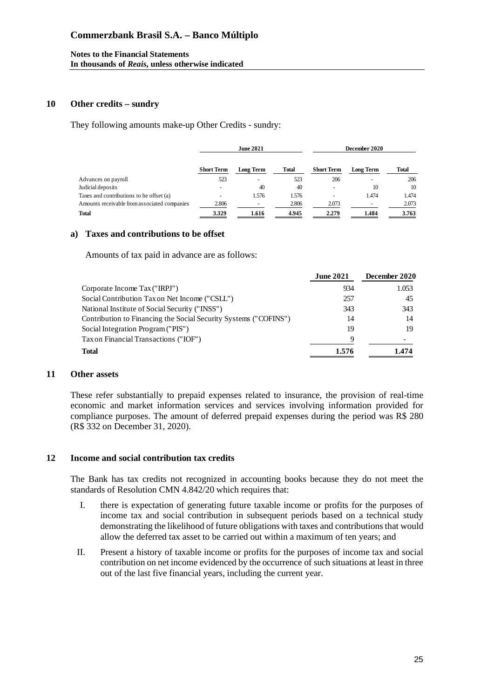#### **Notes to the Financial Statements In thousands of** *Reais***, unless otherwise indicated**

#### **10 Other credits – sundry**

They following amounts make-up Other Credits - sundry:

|                                              | <b>June 2021</b>  |                  |              | December 2020     |           |       |
|----------------------------------------------|-------------------|------------------|--------------|-------------------|-----------|-------|
|                                              | <b>Short Term</b> | <b>Long Term</b> | <b>Total</b> | <b>Short Term</b> | Long Term | Total |
| Advances on payroll                          | 523               |                  | 523          | 206               |           | 206   |
| Judicial deposits                            |                   | 40               | 40           |                   | 10        | 10    |
| Taxes and contributions to be offset (a)     |                   | 1.576            | 1.576        |                   | 1.474     | 1.474 |
| Amounts receivable from associated companies | 2.806             |                  | 2.806        | 2.073             |           | 2.073 |
| <b>Total</b>                                 | 3.329             | 1.616            | 4.945        | 2.279             | 1.484     | 3.763 |

## **a) Taxes and contributions to be offset**

Amounts of tax paid in advance are as follows:

|                                                                  | <b>June 2021</b> | December 2020 |
|------------------------------------------------------------------|------------------|---------------|
| Corporate Income Tax ("IRPJ")                                    | 934              | 1.053         |
| Social Contribution Tax on Net Income ("CSLL")                   | 257              | 45            |
| National Institute of Social Security ("INSS")                   | 343              | 343           |
| Contribution to Financing the Social Security Systems ("COFINS") | 14               | 14            |
| Social Integration Program ("PIS")                               | 19               | 19            |
| Tax on Financial Transactions ("IOF")                            | 9                |               |
| Total                                                            | 1.576            | 1.474         |

#### **11 Other assets**

These refer substantially to prepaid expenses related to insurance, the provision of real-time economic and market information services and services involving information provided for compliance purposes. The amount of deferred prepaid expenses during the period was R\$ 280 (R\$ 332 on December 31, 2020).

#### **12 Income and social contribution tax credits**

The Bank has tax credits not recognized in accounting books because they do not meet the standards of Resolution CMN 4.842/20 which requires that:

- I. there is expectation of generating future taxable income or profits for the purposes of income tax and social contribution in subsequent periods based on a technical study demonstrating the likelihood of future obligations with taxes and contributions that would allow the deferred tax asset to be carried out within a maximum of ten years; and
- II. Present a history of taxable income or profits for the purposes of income tax and social contribution on net income evidenced by the occurrence of such situations at least in three out of the last five financial years, including the current year.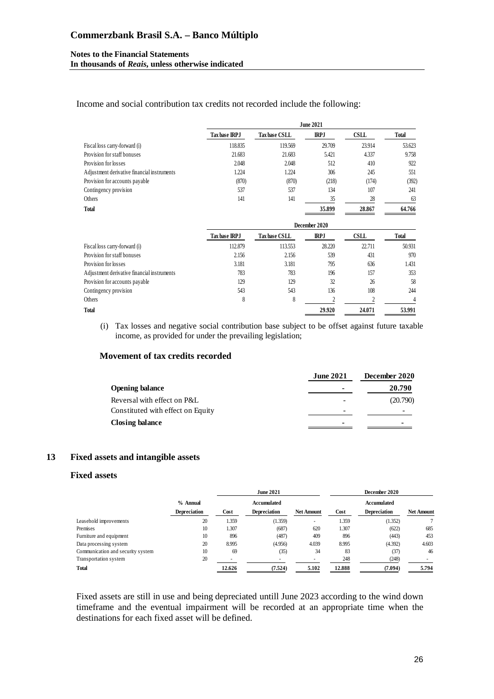#### **Notes to the Financial Statements In thousands of** *Reais***, unless otherwise indicated**

Income and social contribution tax credits not recorded include the following:

|                                             | <b>June 2021</b> |                      |             |             |              |  |  |  |
|---------------------------------------------|------------------|----------------------|-------------|-------------|--------------|--|--|--|
|                                             | Tax base IRPJ    | Tax base CSLL        | <b>IRPJ</b> | <b>CSLL</b> | <b>Total</b> |  |  |  |
| Fiscal loss carry-forward (i)               | 118.835          | 119.569              | 29.709      | 23.914      | 53.623       |  |  |  |
| Provision for staff bonuses                 | 21.683           | 21.683               | 5.421       | 4.337       | 9.758        |  |  |  |
| Provision for losses                        | 2.048            | 2.048                | 512         | 410         | 922          |  |  |  |
| Adjustment derivative financial instruments | 1.224            | 1.224                | 306         | 245         | 551          |  |  |  |
| Provision for accounts payable              | (870)            | (870)                | (218)       | (174)       | (392)        |  |  |  |
| Contingency provision                       | 537              | 537                  | 134         | 107         | 241          |  |  |  |
| Others                                      | 141              | 141                  | 35          | 28          | 63           |  |  |  |
| <b>Total</b>                                |                  |                      | 35.899      | 28.867      | 64.766       |  |  |  |
|                                             | December 2020    |                      |             |             |              |  |  |  |
|                                             | Tax base IRPJ    | <b>Tax base CSLL</b> | <b>IRPJ</b> | <b>CSLL</b> | <b>Total</b> |  |  |  |
| Fiscal loss carry-forward (i)               | 112.879          | 113.553              | 28.220      | 22.711      | 50.931       |  |  |  |
| Provision for staff bonuses                 | 2.156            | 2.156                | 539         | 431         | 970          |  |  |  |
| Provision for losses                        | 3.181            | 3.181                | 795         | 636         | 1.431        |  |  |  |
| Adjustment derivative financial instruments | 783              | 783                  | 196         | 157         | 353          |  |  |  |
| Provision for accounts payable              | 129              | 129                  | 32          | 26          | 58           |  |  |  |
| Contingency provision                       | 543              | 543                  | 136         | 108         | 244          |  |  |  |

(i) Tax losses and negative social contribution base subject to be offset against future taxable income, as provided for under the prevailing legislation;

Others  $8$  8  $2$  2 4 **Total 29.920 24.071 53.991**

#### **Movement of tax credits recorded**

|                                   | <b>June 2021</b> | December 2020 |
|-----------------------------------|------------------|---------------|
| <b>Opening balance</b>            | $\blacksquare$   | 20.790        |
| Reversal with effect on P&L       |                  | (20.790)      |
| Constituted with effect on Equity | ۰                |               |
| Closing balance                   | $\blacksquare$   |               |

#### **13 Fixed assets and intangible assets**

#### **Fixed assets**

|                                   |                     |             | <b>June 2021</b>         |                   |        | December 2020       |                   |
|-----------------------------------|---------------------|-------------|--------------------------|-------------------|--------|---------------------|-------------------|
|                                   | % Annual            | Accumulated |                          | Accumulated       |        |                     |                   |
|                                   | <b>Depreciation</b> | Cost        | <b>Depreciation</b>      | <b>Net Amount</b> | Cost   | <b>Depreciation</b> | <b>Net Amount</b> |
| Leasehold improvements            | 20                  | 1.359       | (1.359)                  | ٠                 | 1.359  | (1.352)             |                   |
| Premises                          | 10                  | 1.307       | (687)                    | 620               | 1.307  | (622)               | 685               |
| Furniture and equipment           | 10                  | 896         | (487)                    | 409               | 896    | (443)               | 453               |
| Data processing system            | 20                  | 8.995       | (4.956)                  | 4.039             | 8.995  | (4.392)             | 4.603             |
| Communication and security system | 10                  | 69          | (35)                     | 34                | 83     | (37)                | 46                |
| Transportation system             | 20                  |             | $\overline{\phantom{a}}$ |                   | 248    | (248)               |                   |
| <b>Total</b>                      |                     | 12.626      | (7.524)                  | 5.102             | 12.888 | (7.094)             | 5.794             |

Fixed assets are still in use and being depreciated untill June 2023 according to the wind down timeframe and the eventual impairment will be recorded at an appropriate time when the destinations for each fixed asset will be defined.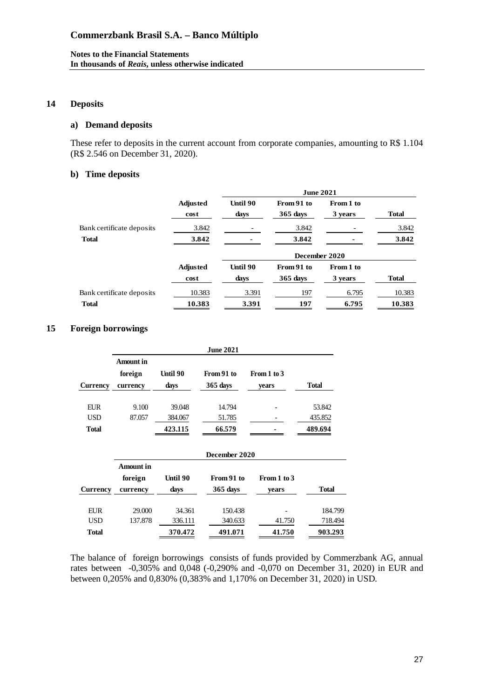#### **14 Deposits**

## **a) Demand deposits**

These refer to deposits in the current account from corporate companies, amounting to R\$ 1.104 (R\$ 2.546 on December 31, 2020).

#### **b) Time deposits**

|                           |                         | <b>June 2021</b> |                          |                      |              |  |  |
|---------------------------|-------------------------|------------------|--------------------------|----------------------|--------------|--|--|
|                           | <b>Adjusted</b><br>cost | Until 90<br>days | From 91 to<br>$365$ days | From 1 to<br>3 years | <b>Total</b> |  |  |
| Bank certificate deposits | 3.842                   |                  | 3.842                    |                      | 3.842        |  |  |
| <b>Total</b>              | 3.842                   |                  | 3.842                    |                      | 3.842        |  |  |
|                           |                         | December 2020    |                          |                      |              |  |  |
|                           | <b>Adjusted</b>         | Until 90         | From 91 to               | From 1 to            |              |  |  |
|                           | cost                    | days             | $365$ days               | 3 years              | <b>Total</b> |  |  |
| Bank certificate deposits | 10.383                  | 3.391            | 197                      | 6.795                | 10.383       |  |  |
| <b>Total</b>              | 10.383                  | 3.391            | 197                      | 6.795                | 10.383       |  |  |

### **15 Foreign borrowings**

|            | <b>June 2021</b>     |          |            |             |              |  |
|------------|----------------------|----------|------------|-------------|--------------|--|
|            | Amount in<br>foreign | Until 90 | From 91 to | From 1 to 3 |              |  |
| Currency   | currency             | days     | $365$ days | vears       | <b>Total</b> |  |
| <b>EUR</b> | 9.100                | 39.048   | 14.794     |             | 53.842       |  |
| <b>USD</b> | 87.057               | 384.067  | 51.785     |             | 435.852      |  |
| Total      |                      | 423.115  | 66.579     |             | 489.694      |  |

|              | December 2020                    |                  |                          |                      |              |  |
|--------------|----------------------------------|------------------|--------------------------|----------------------|--------------|--|
| Currency     | Amount in<br>foreign<br>currency | Until 90<br>days | From 91 to<br>$365$ days | From 1 to 3<br>vears | <b>Total</b> |  |
| EUR          | 29,000                           | 34.361           | 150.438                  |                      | 184.799      |  |
| <b>USD</b>   | 137.878                          | 336.111          | 340.633                  | 41.750               | 718.494      |  |
| <b>Total</b> |                                  | 370.472          | 491.071                  | 41.750               | 903.293      |  |

The balance of foreign borrowings consists of funds provided by Commerzbank AG, annual rates between -0,305% and 0,048 (-0,290% and -0,070 on December 31, 2020) in EUR and between 0,205% and 0,830% (0,383% and 1,170% on December 31, 2020) in USD.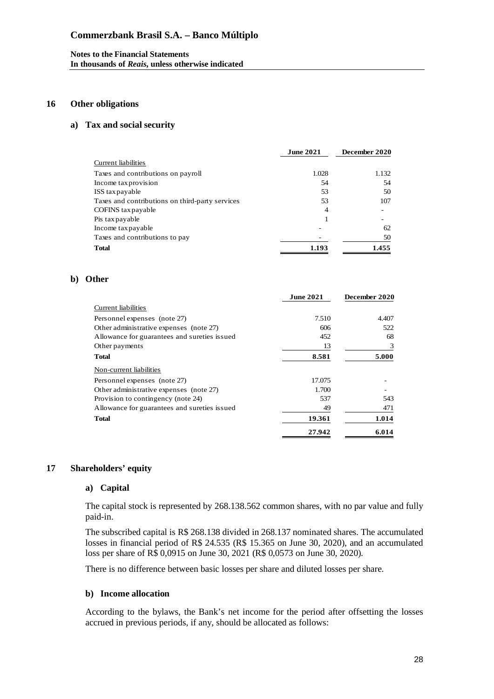#### **Notes to the Financial Statements In thousands of** *Reais***, unless otherwise indicated**

#### **16 Other obligations**

#### **a) Tax and social security**

|                                                 | <b>June 2021</b> | December 2020 |
|-------------------------------------------------|------------------|---------------|
| Current liabilities                             |                  |               |
| Taxes and contributions on payroll              | 1.028            | 1.132         |
| Income tax provision                            | 54               | 54            |
| ISS tax payable                                 | 53               | 50            |
| Taxes and contributions on third-party services | 53               | 107           |
| COFINS tax payable                              | 4                |               |
| Pis tax payable                                 |                  |               |
| Income tax payable                              |                  | 62            |
| Taxes and contributions to pay                  |                  | 50            |
| <b>Total</b>                                    | 1.193            | 1.455         |

#### **b) Other**

|                                              | <b>June 2021</b> | December 2020 |
|----------------------------------------------|------------------|---------------|
| Current liabilities                          |                  |               |
| Personnel expenses (note 27)                 | 7.510            | 4.407         |
| Other administrative expenses (note 27)      | 606              | 522           |
| Allowance for guarantees and sureties issued | 452              | 68            |
| Other payments                               | 13               | 3             |
| Total                                        | 8.581            | 5.000         |
| Non-current liabilities                      |                  |               |
| Personnel expenses (note 27)                 | 17.075           |               |
| Other administrative expenses (note 27)      | 1.700            |               |
| Provision to contingency (note 24)           | 537              | 543           |
| Allowance for guarantees and sureties issued | 49               | 471           |
| <b>Total</b>                                 | 19.361           | 1.014         |
|                                              | 27.942           | 6.014         |

#### **17 Shareholders' equity**

#### **a) Capital**

The capital stock is represented by 268.138.562 common shares, with no par value and fully paid-in.

The subscribed capital is R\$ 268.138 divided in 268.137 nominated shares. The accumulated losses in financial period of R\$ 24.535 (R\$ 15.365 on June 30, 2020), and an accumulated loss per share of R\$ 0,0915 on June 30, 2021 (R\$ 0,0573 on June 30, 2020).

There is no difference between basic losses per share and diluted losses per share.

#### **b) Income allocation**

According to the bylaws, the Bank's net income for the period after offsetting the losses accrued in previous periods, if any, should be allocated as follows: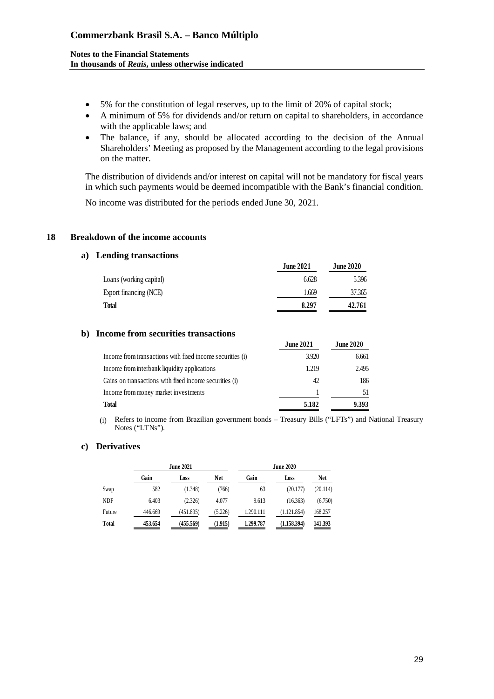#### **Notes to the Financial Statements In thousands of** *Reais***, unless otherwise indicated**

- 5% for the constitution of legal reserves, up to the limit of 20% of capital stock;
- A minimum of 5% for dividends and/or return on capital to shareholders, in accordance with the applicable laws; and
- The balance, if any, should be allocated according to the decision of the Annual Shareholders' Meeting as proposed by the Management according to the legal provisions on the matter.

The distribution of dividends and/or interest on capital will not be mandatory for fiscal years in which such payments would be deemed incompatible with the Bank's financial condition.

No income was distributed for the periods ended June 30, 2021.

#### **18 Breakdown of the income accounts**

#### **a) Lending transactions**

|                         | <b>June 2021</b> | <b>June 2020</b> |
|-------------------------|------------------|------------------|
| Loans (working capital) | 6.628            | 5.396            |
| Export financing (NCE)  | 1.669            | 37.365           |
| Total                   | 8.297            | 42.761           |
|                         |                  |                  |

#### **b) Income from securities transactions**

|                                                           | <b>June 2021</b> | <b>June 2020</b> |
|-----------------------------------------------------------|------------------|------------------|
| Income from transactions with fixed income securities (i) | 3.920            | 6.661            |
| Income from interbank liquidity applications              | 1.219            | 2.495            |
| Gains on transactions with fixed income securities (i)    | 42               | 186              |
| Income from money market investments                      |                  |                  |
| <b>Total</b>                                              | 5.182            | 9.393            |

(i) Refers to income from Brazilian government bonds – Treasury Bills ("LFTs") and National Treasury Notes ("LTNs").

#### **c) Derivatives**

|              |         | <b>June 2021</b> |            |           | <b>June 2020</b> |            |
|--------------|---------|------------------|------------|-----------|------------------|------------|
|              | Gain    | Loss             | <b>Net</b> | Gain      | Loss             | <b>Net</b> |
| Swap         | 582     | (1.348)          | (766)      | 63        | (20.177)         | (20.114)   |
| <b>NDF</b>   | 6.403   | (2.326)          | 4.077      | 9.613     | (16.363)         | (6.750)    |
| Future       | 446.669 | (451.895)        | (5.226)    | 1.290.111 | (1.121.854)      | 168.257    |
| <b>Total</b> | 453.654 | (455.569)        | (1.915)    | 1.299.787 | (1.158.394)      | 141.393    |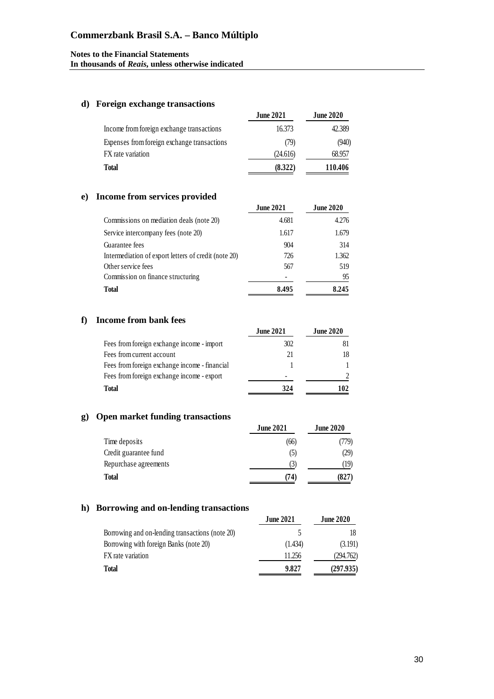#### **d) Foreign exchange transactions**

|                                             | <b>June 2021</b> | <b>June 2020</b> |
|---------------------------------------------|------------------|------------------|
| Income from foreign exchange transactions   | 16.373           | 42.389           |
| Expenses from foreign exchange transactions | (79)             | (940)            |
| FX rate variation                           | (24.616)         | 68.957           |
| <b>Total</b>                                | (8.322)          | 110.406          |

### **e) Income from services provided**

| http://www.acco.provided                             |                  |                  |
|------------------------------------------------------|------------------|------------------|
|                                                      | <b>June 2021</b> | <b>June 2020</b> |
| Commissions on mediation deals (note 20)             | 4.681            | 4.276            |
| Service intercompany fees (note 20)                  | 1.617            | 1.679            |
| Guarantee fees                                       | 904              | 314              |
| Intermediation of export letters of credit (note 20) | 726              | 1.362            |
| Other service fees                                   | 567              | 519              |
| Commission on finance structuring                    |                  | 95               |
| <b>Total</b>                                         | 8.495            | 8.245            |
|                                                      |                  |                  |

#### **f) Income from bank fees**

|                                               | <b>June 2021</b> | <b>June 2020</b> |
|-----------------------------------------------|------------------|------------------|
| Fees from foreign exchange income - import    | 302              | 81               |
| Fees from current account                     | 21               | 18               |
| Fees from foreign exchange income - financial |                  |                  |
| Fees from foreign exchange income - export    |                  |                  |
| Total                                         | 324              | 102              |

### **g) Open market funding transactions**

| <b>June 2021</b> | <b>June 2020</b> |
|------------------|------------------|
| (66)             | (779)            |
| (5)              | (29)             |
| (3)              | 19)              |
| (74)             | (827)            |
|                  |                  |

### **h) Borrowing and on-lending transactions**

|                                                 | <b>June 2021</b> | <b>June 2020</b> |
|-------------------------------------------------|------------------|------------------|
| Borrowing and on-lending transactions (note 20) |                  | 18               |
| Borrowing with foreign Banks (note 20)          | (1.434)          | (3.191)          |
| FX rate variation                               | 11.256           | (294.762)        |
| <b>Total</b>                                    | 9.827            | (297.935)        |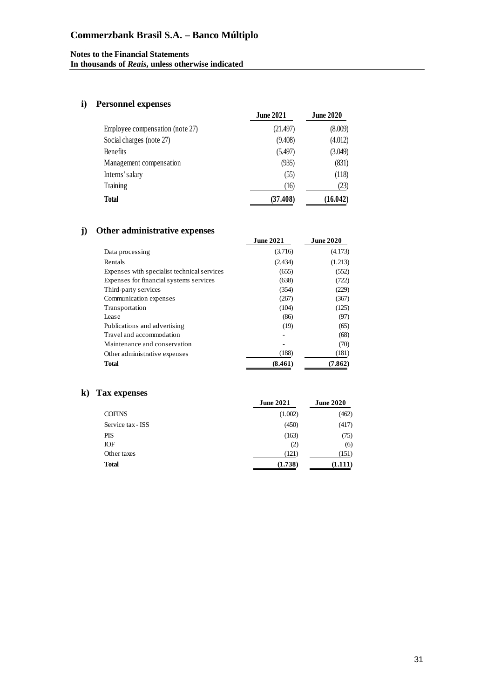## **i) Personnel expenses**

|                                 | <b>June 2021</b> | <b>June 2020</b> |
|---------------------------------|------------------|------------------|
| Employee compensation (note 27) | (21.497)         | (8.009)          |
| Social charges (note 27)        | (9.408)          | (4.012)          |
| <b>Benefits</b>                 | (5.497)          | (3.049)          |
| Management compensation         | (935)            | (831)            |
| Interns' salary                 | (55)             | (118)            |
| Training                        | (16)             | (23)             |
| <b>Total</b>                    | (37.408)         | (16.042)         |

## **j) Other administrative expenses**

|                                             | <b>June 2021</b> | <b>June 2020</b> |
|---------------------------------------------|------------------|------------------|
| Data processing                             | (3.716)          | (4.173)          |
| Rentals                                     | (2.434)          | (1.213)          |
| Expenses with specialist technical services | (655)            | (552)            |
| Expenses for financial systems services     | (638)            | (722)            |
| Third-party services                        | (354)            | (229)            |
| Communication expenses                      | (267)            | (367)            |
| Transportation                              | (104)            | (125)            |
| Lease                                       | (86)             | (97)             |
| Publications and advertising                | (19)             | (65)             |
| Travel and accommodation                    |                  | (68)             |
| Maintenance and conservation                | ۰                | (70)             |
| Other administrative expenses               | (188)            | (181)            |
| <b>Total</b>                                | (8.461)          | (7.862)          |

## **k) Tax expenses**

|                   | <b>June 2021</b> | <b>June 2020</b> |
|-------------------|------------------|------------------|
| <b>COFINS</b>     | (1.002)          | (462)            |
| Service tax - ISS | (450)            | (417)            |
| PIS               | (163)            | (75)             |
| <b>IOF</b>        | (2)              | (6)              |
| Other taxes       | (121)            | (151)            |
| <b>Total</b>      | (1.738)          | (1.111)          |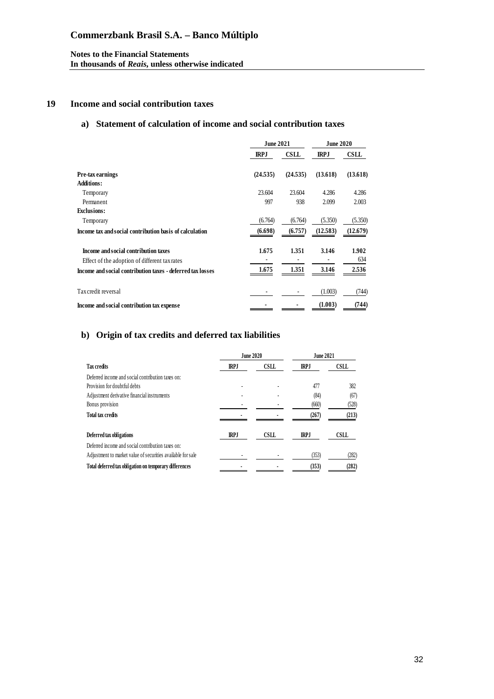#### **19 Income and social contribution taxes**

### **a) Statement of calculation of income and social contribution taxes**

|                                                            | <b>June 2021</b> |             | <b>June 2020</b> |             |
|------------------------------------------------------------|------------------|-------------|------------------|-------------|
|                                                            | <b>IRPJ</b>      | <b>CSLL</b> | <b>IRPJ</b>      | <b>CSLL</b> |
| Pre-tax earnings                                           | (24.535)         | (24.535)    | (13.618)         | (13.618)    |
| Additions:                                                 |                  |             |                  |             |
| Temporary                                                  | 23.604           | 23.604      | 4.286            | 4.286       |
| Permanent                                                  | 997              | 938         | 2.099            | 2.003       |
| <b>Exclusions:</b>                                         |                  |             |                  |             |
| Temporary                                                  | (6.764)          | (6.764)     | (5.350)          | (5.350)     |
| Income tax and social contribution basis of calculation    | (6.698)          | (6.757)     | (12.583)         | (12.679)    |
| Income and social contribution taxes                       | 1.675            | 1.351       | 3.146            | 1.902       |
| Effect of the adoption of different tax rates              |                  |             |                  | 634         |
| Income and social contribution taxes - deferred tax losses | 1.675            | 1.351       | 3.146            | 2.536       |
| Tax credit reversal                                        |                  |             | (1.003)          | (744)       |
| Income and social contribution tax expense                 |                  |             | (1.003)          | (744)       |

## **b) Origin of tax credits and deferred tax liabilities**

|                                                             | <b>June 2020</b> |             | <b>June 2021</b> |             |
|-------------------------------------------------------------|------------------|-------------|------------------|-------------|
| <b>Tax credits</b>                                          | <b>IRPJ</b>      | <b>CSLL</b> | <b>IRPJ</b>      | <b>CSLL</b> |
| Deferred income and social contribution taxes on:           |                  |             |                  |             |
| Provision for doubtful debts                                |                  |             | 477              | 382         |
| Adjustment derivative financial instruments                 |                  |             | (84)             | (67)        |
| Bonus provision                                             |                  |             | (660)            | (528)       |
| <b>Total tax credits</b>                                    |                  |             | (267)            | (213)       |
| Deferred tax obligations                                    | <b>IRPJ</b>      | <b>CSLL</b> | <b>IRPJ</b>      | <b>CSLL</b> |
| Deferred income and social contribution taxes on:           |                  |             |                  |             |
| Adjustment to market value of securities available for sale |                  |             | (353)            | (282)       |
| Total deferred tax obligation on temporary differences      |                  |             | (353)            | (282)       |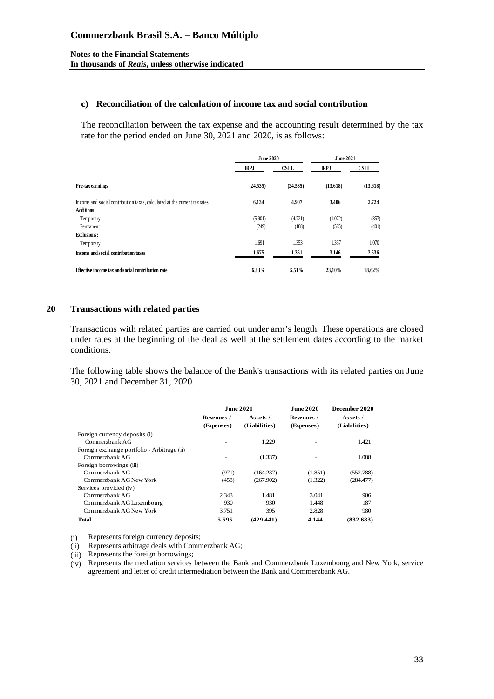#### **c) Reconciliation of the calculation of income tax and social contribution**

The reconciliation between the tax expense and the accounting result determined by the tax rate for the period ended on June 30, 2021 and 2020, is as follows:

|                                                                           | <b>June 2020</b> |             | <b>June 2021</b> |             |
|---------------------------------------------------------------------------|------------------|-------------|------------------|-------------|
|                                                                           | <b>IRPJ</b>      | <b>CSLL</b> | <b>IRPJ</b>      | <b>CSLL</b> |
| Pre-tax earnings                                                          | (24.535)         | (24.535)    | (13.618)         | (13.618)    |
| Income and social contribution taxes, calculated at the current tax rates | 6.134            | 4.907       | 3.406            | 2.724       |
| <b>Additions:</b>                                                         |                  |             |                  |             |
| Temporary                                                                 | (5.901)          | (4.721)     | (1.072)          | (857)       |
| Permanent                                                                 | (249)            | (188)       | (525)            | (401)       |
| <b>Exclusions:</b>                                                        |                  |             |                  |             |
| Temporary                                                                 | 1.691            | 1.353       | 1.337            | 1.070       |
| Income and social contribution taxes                                      | 1.675            | 1.351       | 3.146            | 2.536       |
| Effective income tax and social contribution rate                         | 6,83%            | 5,51%       | 23,10%           | 18,62%      |

#### **20 Transactions with related parties**

Transactions with related parties are carried out under arm's length. These operations are closed under rates at the beginning of the deal as well at the settlement dates according to the market conditions.

The following table shows the balance of the Bank's transactions with its related parties on June 30, 2021 and December 31, 2020.

|                                             | <b>June 2021</b>         |                           | <b>June 2020</b>         | December 2020             |  |
|---------------------------------------------|--------------------------|---------------------------|--------------------------|---------------------------|--|
|                                             | Revenues /<br>(Expenses) | Assets /<br>(Liabilities) | Revenues /<br>(Expenses) | Assets /<br>(Liabilities) |  |
| Foreign currency deposits (i)               |                          |                           |                          |                           |  |
| Commerzhank AG                              |                          | 1.229                     |                          | 1.421                     |  |
| Foreign exchange portfolio - Arbitrage (ii) |                          |                           |                          |                           |  |
| Commerzhank AG                              |                          | (1.337)                   |                          | 1.088                     |  |
| Foreign borrowings (iii)                    |                          |                           |                          |                           |  |
| Commerzhank AG                              | (971)                    | (164.237)                 | (1.851)                  | (552.788)                 |  |
| Commerzbank AG New York                     | (458)                    | (267.902)                 | (1.322)                  | (284.477)                 |  |
| Services provided (iv)                      |                          |                           |                          |                           |  |
| Commerzhank AG                              | 2.343                    | 1.481                     | 3.041                    | 906                       |  |
| Commerzbank AG Luxembourg                   | 930                      | 930                       | 1.448                    | 187                       |  |
| Commerzbank AG New York                     | 3.751                    | 395                       | 2.828                    | 980                       |  |
| Total                                       | 5.595                    | (429.441)                 | 4.144                    | (832.683)                 |  |

(i) Represents foreign currency deposits;

(ii) Represents arbitrage deals with Commerzbank AG;

(iii) Represents the foreign borrowings;

(iv) Represents the mediation services between the Bank and Commerzbank Luxembourg and New York, service agreement and letter of credit intermediation between the Bank and Commerzbank AG.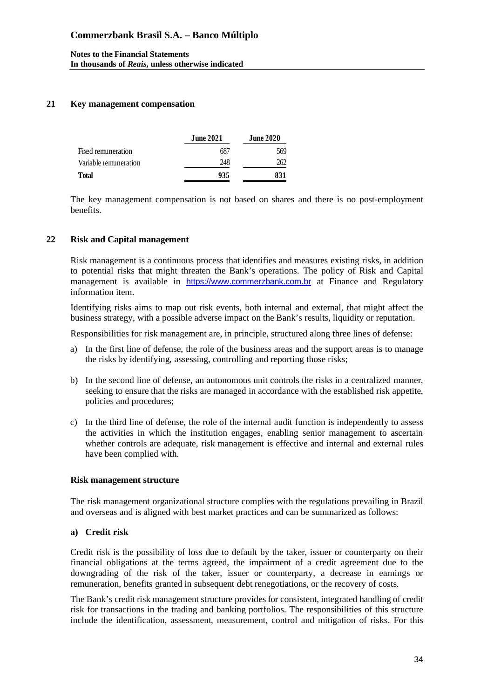### **21 Key management compensation**

|                       | <b>June 2021</b> | <b>June 2020</b> |
|-----------------------|------------------|------------------|
| Fixed remuneration    | 687              | 569              |
| Variable remuneration | 248              | 262              |
| <b>Total</b>          | 935              | 831              |

The key management compensation is not based on shares and there is no post-employment benefits.

#### **22 Risk and Capital management**

Risk management is a continuous process that identifies and measures existing risks, in addition to potential risks that might threaten the Bank's operations. The policy of Risk and Capital management is available in [https://www.commerzbank.com.br](https://www.commerzbank.com.br/) at Finance and Regulatory information item.

Identifying risks aims to map out risk events, both internal and external, that might affect the business strategy, with a possible adverse impact on the Bank's results, liquidity or reputation.

Responsibilities for risk management are, in principle, structured along three lines of defense:

- a) In the first line of defense, the role of the business areas and the support areas is to manage the risks by identifying, assessing, controlling and reporting those risks;
- b) In the second line of defense, an autonomous unit controls the risks in a centralized manner, seeking to ensure that the risks are managed in accordance with the established risk appetite, policies and procedures;
- c) In the third line of defense, the role of the internal audit function is independently to assess the activities in which the institution engages, enabling senior management to ascertain whether controls are adequate, risk management is effective and internal and external rules have been complied with.

#### **Risk management structure**

The risk management organizational structure complies with the regulations prevailing in Brazil and overseas and is aligned with best market practices and can be summarized as follows:

#### **a) Credit risk**

Credit risk is the possibility of loss due to default by the taker, issuer or counterparty on their financial obligations at the terms agreed, the impairment of a credit agreement due to the downgrading of the risk of the taker, issuer or counterparty, a decrease in earnings or remuneration, benefits granted in subsequent debt renegotiations, or the recovery of costs.

The Bank's credit risk management structure provides for consistent, integrated handling of credit risk for transactions in the trading and banking portfolios. The responsibilities of this structure include the identification, assessment, measurement, control and mitigation of risks. For this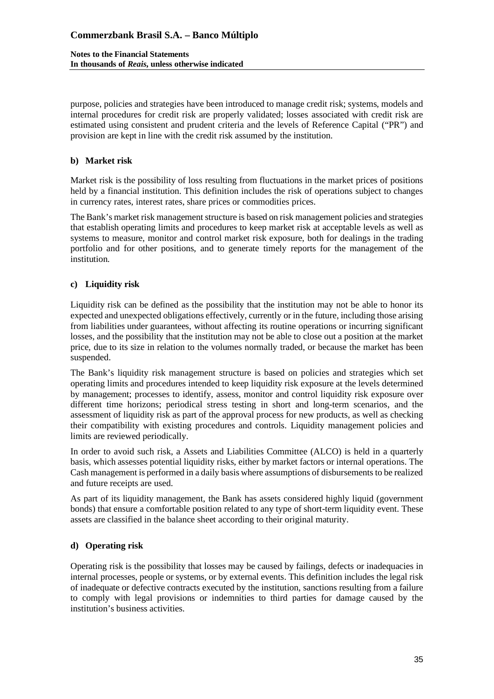#### **Notes to the Financial Statements In thousands of** *Reais***, unless otherwise indicated**

purpose, policies and strategies have been introduced to manage credit risk; systems, models and internal procedures for credit risk are properly validated; losses associated with credit risk are estimated using consistent and prudent criteria and the levels of Reference Capital ("PR") and provision are kept in line with the credit risk assumed by the institution.

## **b) Market risk**

Market risk is the possibility of loss resulting from fluctuations in the market prices of positions held by a financial institution. This definition includes the risk of operations subject to changes in currency rates, interest rates, share prices or commodities prices.

The Bank's market risk management structure is based on risk management policies and strategies that establish operating limits and procedures to keep market risk at acceptable levels as well as systems to measure, monitor and control market risk exposure, both for dealings in the trading portfolio and for other positions, and to generate timely reports for the management of the institution.

### **c) Liquidity risk**

Liquidity risk can be defined as the possibility that the institution may not be able to honor its expected and unexpected obligations effectively, currently or in the future, including those arising from liabilities under guarantees, without affecting its routine operations or incurring significant losses, and the possibility that the institution may not be able to close out a position at the market price, due to its size in relation to the volumes normally traded, or because the market has been suspended.

The Bank's liquidity risk management structure is based on policies and strategies which set operating limits and procedures intended to keep liquidity risk exposure at the levels determined by management; processes to identify, assess, monitor and control liquidity risk exposure over different time horizons; periodical stress testing in short and long-term scenarios, and the assessment of liquidity risk as part of the approval process for new products, as well as checking their compatibility with existing procedures and controls. Liquidity management policies and limits are reviewed periodically.

In order to avoid such risk, a Assets and Liabilities Committee (ALCO) is held in a quarterly basis, which assesses potential liquidity risks, either by market factors or internal operations. The Cash management is performed in a daily basis where assumptions of disbursements to be realized and future receipts are used.

As part of its liquidity management, the Bank has assets considered highly liquid (government bonds) that ensure a comfortable position related to any type of short-term liquidity event. These assets are classified in the balance sheet according to their original maturity.

#### **d) Operating risk**

Operating risk is the possibility that losses may be caused by failings, defects or inadequacies in internal processes, people or systems, or by external events. This definition includes the legal risk of inadequate or defective contracts executed by the institution, sanctions resulting from a failure to comply with legal provisions or indemnities to third parties for damage caused by the institution's business activities.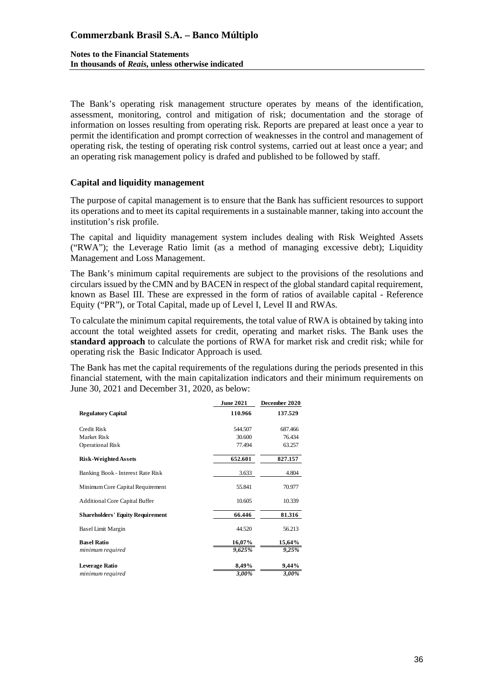The Bank's operating risk management structure operates by means of the identification, assessment, monitoring, control and mitigation of risk; documentation and the storage of information on losses resulting from operating risk. Reports are prepared at least once a year to permit the identification and prompt correction of weaknesses in the control and management of operating risk, the testing of operating risk control systems, carried out at least once a year; and an operating risk management policy is drafed and published to be followed by staff.

### **Capital and liquidity management**

The purpose of capital management is to ensure that the Bank has sufficient resources to support its operations and to meet its capital requirements in a sustainable manner, taking into account the institution's risk profile.

The capital and liquidity management system includes dealing with Risk Weighted Assets ("RWA"); the Leverage Ratio limit (as a method of managing excessive debt); Liquidity Management and Loss Management.

The Bank's minimum capital requirements are subject to the provisions of the resolutions and circulars issued by the CMN and by BACEN in respect of the global standard capital requirement, known as Basel III. These are expressed in the form of ratios of available capital - Reference Equity ("PR"), or Total Capital, made up of Level I, Level II and RWAs.

To calculate the minimum capital requirements, the total value of RWA is obtained by taking into account the total weighted assets for credit, operating and market risks. The Bank uses the **standard approach** to calculate the portions of RWA for market risk and credit risk; while for operating risk the Basic Indicator Approach is used.

The Bank has met the capital requirements of the regulations during the periods presented in this financial statement, with the main capitalization indicators and their minimum requirements on June 30, 2021 and December 31, 2020, as below:

|                                         | <b>June 2021</b> | December 2020 |
|-----------------------------------------|------------------|---------------|
| <b>Regulatory Capital</b>               | 110.966          | 137.529       |
| Credit Risk                             | 544.507          | 687.466       |
| Market Risk                             | 30.600           | 76.434        |
| Operational Risk                        | 77.494           | 63.257        |
| <b>Risk-Weighted Assets</b>             | 652.601          | 827.157       |
| Banking Book - Interest Rate Risk       | 3.633            | 4.804         |
| Minimum Core Capital Requirement        | 55.841           | 70.977        |
| <b>Additional Core Capital Buffer</b>   | 10.605           | 10.339        |
| <b>Shareholders' Equity Requirement</b> | 66.446           | 81.316        |
| Basel Limit Margin                      | 44.520           | 56.213        |
| <b>Basel Ratio</b>                      | 16,07%           | 15,64%        |
| minimum required                        | 9,625%           | 9,25%         |
| <b>Leverage Ratio</b>                   | 8,49%            | 9,44%         |
| minimum required                        | 3,00%            | 3.00%         |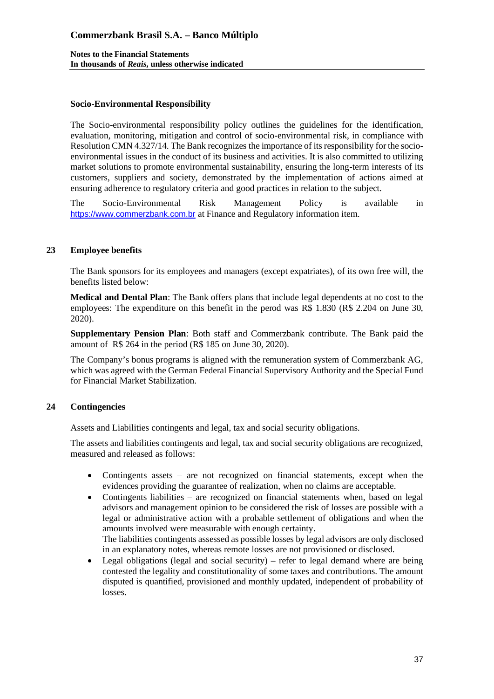### **Socio-Environmental Responsibility**

The Socio-environmental responsibility policy outlines the guidelines for the identification, evaluation, monitoring, mitigation and control of socio-environmental risk, in compliance with Resolution CMN 4.327/14. The Bank recognizes the importance of its responsibility for the socioenvironmental issues in the conduct of its business and activities. It is also committed to utilizing market solutions to promote environmental sustainability, ensuring the long-term interests of its customers, suppliers and society, demonstrated by the implementation of actions aimed at ensuring adherence to regulatory criteria and good practices in relation to the subject.

The Socio-Environmental Risk Management Policy is available in [https://www.commerzbank.com.br](https://www.commerzbank.com.br/) at Finance and Regulatory information item.

### **23 Employee benefits**

The Bank sponsors for its employees and managers (except expatriates), of its own free will, the benefits listed below:

**Medical and Dental Plan**: The Bank offers plans that include legal dependents at no cost to the employees: The expenditure on this benefit in the perod was R\$ 1.830 (R\$ 2.204 on June 30, 2020).

**Supplementary Pension Plan**: Both staff and Commerzbank contribute. The Bank paid the amount of R\$ 264 in the period (R\$ 185 on June 30, 2020).

The Company's bonus programs is aligned with the remuneration system of Commerzbank AG, which was agreed with the German Federal Financial Supervisory Authority and the Special Fund for Financial Market Stabilization.

## **24 Contingencies**

Assets and Liabilities contingents and legal, tax and social security obligations.

The assets and liabilities contingents and legal, tax and social security obligations are recognized, measured and released as follows:

- Contingents assets are not recognized on financial statements, except when the evidences providing the guarantee of realization, when no claims are acceptable.
- Contingents liabilities are recognized on financial statements when, based on legal advisors and management opinion to be considered the risk of losses are possible with a legal or administrative action with a probable settlement of obligations and when the amounts involved were measurable with enough certainty. The liabilities contingents assessed as possible losses by legal advisors are only disclosed in an explanatory notes, whereas remote losses are not provisioned or disclosed.
- Legal obligations (legal and social security) refer to legal demand where are being contested the legality and constitutionality of some taxes and contributions. The amount disputed is quantified, provisioned and monthly updated, independent of probability of losses.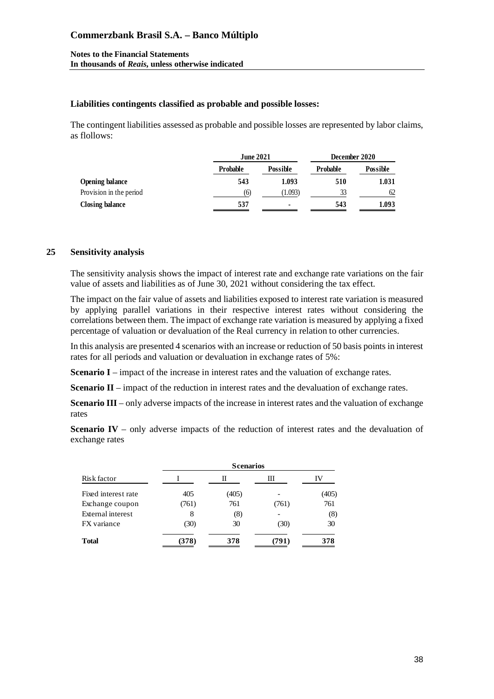#### **Liabilities contingents classified as probable and possible losses:**

The contingent liabilities assessed as probable and possible losses are represented by labor claims, as flollows:

|                         | <b>June 2021</b> |                 | December 2020   |                 |
|-------------------------|------------------|-----------------|-----------------|-----------------|
|                         | <b>Probable</b>  | <b>Possible</b> | <b>Probable</b> | <b>Possible</b> |
| Opening balance         | 543              | 1.093           | 510             | 1.031           |
| Provision in the period | (6)              | (1.093)         | 33              | 62              |
| <b>Closing balance</b>  | 537              | ۰               | 543             | 1.093           |

#### **25 Sensitivity analysis**

The sensitivity analysis shows the impact of interest rate and exchange rate variations on the fair value of assets and liabilities as of June 30, 2021 without considering the tax effect.

The impact on the fair value of assets and liabilities exposed to interest rate variation is measured by applying parallel variations in their respective interest rates without considering the correlations between them. The impact of exchange rate variation is measured by applying a fixed percentage of valuation or devaluation of the Real currency in relation to other currencies.

In this analysis are presented 4 scenarios with an increase or reduction of 50 basis points in interest rates for all periods and valuation or devaluation in exchange rates of 5%:

**Scenario I** – impact of the increase in interest rates and the valuation of exchange rates.

**Scenario II** – impact of the reduction in interest rates and the devaluation of exchange rates.

**Scenario III** – only adverse impacts of the increase in interest rates and the valuation of exchange rates

**Scenario IV** – only adverse impacts of the reduction of interest rates and the devaluation of exchange rates

| Risk factor         | <b>Scenarios</b> |       |       |       |
|---------------------|------------------|-------|-------|-------|
|                     |                  | П     | Ш     | IV    |
| Fixed interest rate | 405              | (405) |       | (405) |
| Exchange coupon     | (761)            | 761   | (761) | 761   |
| External interest   | 8                | (8)   |       | (8)   |
| FX variance         | (30)             | 30    | (30)  | 30    |
| <b>Total</b>        | (378)            | 378   | (791) | 378   |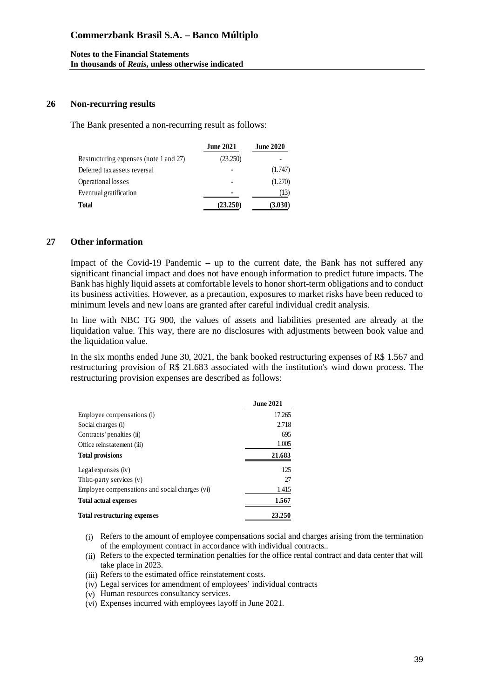#### **Notes to the Financial Statements In thousands of** *Reais***, unless otherwise indicated**

#### **26 Non-recurring results**

The Bank presented a non-recurring result as follows:

|                                        | <b>June 2021</b> | <b>June 2020</b> |
|----------------------------------------|------------------|------------------|
| Restructuring expenses (note 1 and 27) | (23.250)         |                  |
| Deferred tax assets reversal           |                  | (1.747)          |
| Operational losses                     |                  | (1.270)          |
| Eventual gratification                 |                  | (13)             |
| Total                                  | (23.250)         | (3.030)          |

#### **27 Other information**

Impact of the Covid-19 Pandemic – up to the current date, the Bank has not suffered any significant financial impact and does not have enough information to predict future impacts. The Bank has highly liquid assets at comfortable levels to honor short-term obligations and to conduct its business activities. However, as a precaution, exposures to market risks have been reduced to minimum levels and new loans are granted after careful individual credit analysis.

In line with NBC TG 900, the values of assets and liabilities presented are already at the liquidation value. This way, there are no disclosures with adjustments between book value and the liquidation value.

In the six months ended June 30, 2021, the bank booked restructuring expenses of R\$ 1.567 and restructuring provision of R\$ 21.683 associated with the institution's wind down process. The restructuring provision expenses are described as follows:

|                                                | <b>June 2021</b> |
|------------------------------------------------|------------------|
| Employee compensations (i)                     | 17.265           |
| Social charges (i)                             | 2.718            |
| Contracts' penalties (ii)                      | 695              |
| Office reinstatement (iii)                     | 1.005            |
| <b>Total provisions</b>                        | 21.683           |
| Legal expenses (iv)                            | 125              |
| Third-party services (v)                       | 27               |
| Employee compensations and social charges (vi) | 1.415            |
| <b>Total actual expenses</b>                   | 1.567            |
| <b>Total restructuring expenses</b>            | 23.250           |

- (i) Refers to the amount of employee compensations social and charges arising from the termination of the employment contract in accordance with individual contracts..
- (ii) Refers to the expected termination penalties for the office rental contract and data center that will take place in 2023.
- (iii) Refers to the estimated office reinstatement costs.
- (iv) Legal services for amendment of employees' individual contracts
- (v) Human resources consultancy services.
- (vi) Expenses incurred with employees layoff in June 2021.